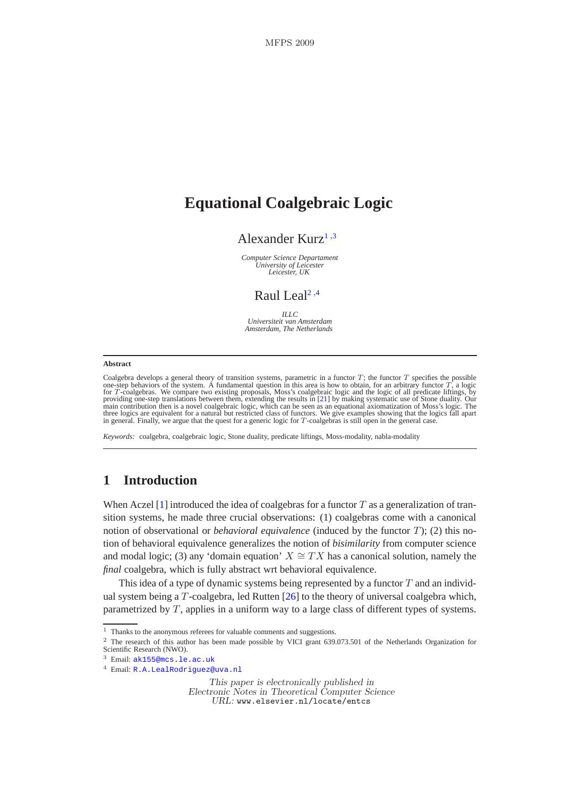# **Equational Coalgebraic Logic**

# Alexander Kurz<sup>[1](#page-2-0),[3](#page-2-0)</sup>

*Computer Science Departament University of Leicester Leicester, UK*

# Raul Leal<sup>[2](#page-2-0),[4](#page-2-0)</sup>

 $IILC$ *Universiteit van Amsterdam Amsterdam, The Netherlands*

#### **Abstract**

Coalgebra develops a general theory of transition systems, parametric in a functor  $T$ ; the functor  $T$  specifies the possible one-step behaviors of the system. A fundamental question in this area is how to obtain, for an providing one-step translations between them, extending the results in [\[21\]](#page-21-0) by making systematic use of Stone duality. Our<br>main contribution then is a novel coalgebraic logic, which can be seen as an equational axiomatizat three logics are equivalent for a natural but restricted class of functors. We give examples showing that the logics fall apart<br>in general. Finally, we argue that the quest for a generic logic for T-coalgebras is still ope

*Keywords:* coalgebra, coalgebraic logic, Stone duality, predicate liftings, Moss-modality, nabla-modality

# **1 Introduction**

When Aczel  $[1]$  introduced the idea of coalgebras for a functor T as a generalization of transition systems, he made three crucial observations: (1) coalgebras come with a canonical notion of observational or *behavioral equivalence* (induced by the functor T); (2) this notion of behavioral equivalence generalizes the notion of *bisimilarity* from computer science and modal logic; (3) any 'domain equation'  $X \cong TX$  has a canonical solution, namely the *final* coalgebra, which is fully abstract wrt behavioral equivalence.

This idea of a type of dynamic systems being represented by a functor  $T$  and an individual system being a  $T$ -coalgebra, led Rutten  $[26]$  to the theory of universal coalgebra which, parametrized by T, applies in a uniform way to a large class of different types of systems.

This paper is electronically published in Electronic Notes in Theoretical Computer Science URL: www.elsevier.nl/locate/entcs

 $1$  Thanks to the anonymous referees for valuable comments and suggestions.

<sup>&</sup>lt;sup>2</sup> The research of this author has been made possible by VICI grant 639.073.501 of the Netherlands Organization for Scientific Research (NWO).

<sup>3</sup> Email: [ak155@mcs.le.ac.uk](mailto:myuserid@mydept.myinst.myedu)

<sup>4</sup> Email: [R.A.LealRodriguez@uva.nl](mailto:couserid@codept.coinst.coedu)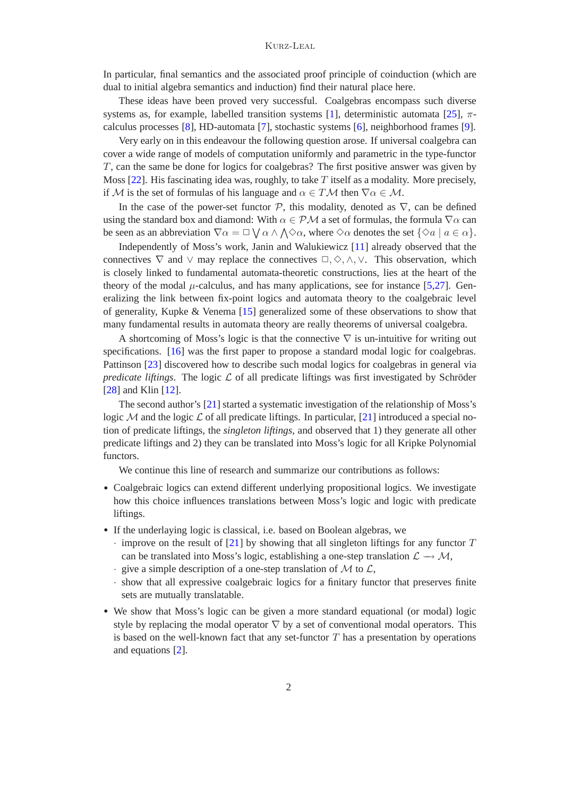In particular, final semantics and the associated proof principle of coinduction (which are dual to initial algebra semantics and induction) find their natural place here.

These ideas have been proved very successful. Coalgebras encompass such diverse systems as, for example, labelled transition systems [\[1\]](#page-20-0), deterministic automata [\[25\]](#page-21-2),  $\pi$ calculus processes [\[8\]](#page-20-1), HD-automata [\[7\]](#page-20-2), stochastic systems [\[6\]](#page-20-3), neighborhood frames [\[9\]](#page-20-4).

Very early on in this endeavour the following question arose. If universal coalgebra can cover a wide range of models of computation uniformly and parametric in the type-functor T, can the same be done for logics for coalgebras? The first positive answer was given by Moss  $[22]$ . His fascinating idea was, roughly, to take T itself as a modality. More precisely, if M is the set of formulas of his language and  $\alpha \in T\mathcal{M}$  then  $\nabla \alpha \in \mathcal{M}$ .

In the case of the power-set functor  $P$ , this modality, denoted as  $\nabla$ , can be defined using the standard box and diamond: With  $\alpha \in \mathcal{PM}$  a set of formulas, the formula  $\nabla \alpha$  can be seen as an abbreviation  $\nabla \alpha = \Box \bigvee \alpha \wedge \bigwedge \Diamond \alpha$ , where  $\Diamond \alpha$  denotes the set  $\{\Diamond a \mid a \in \alpha\}$ .

Independently of Moss's work, Janin and Walukiewicz [\[11\]](#page-20-5) already observed that the connectives  $\nabla$  and  $\vee$  may replace the connectives  $\Box, \Diamond, \wedge, \vee$ . This observation, which is closely linked to fundamental automata-theoretic constructions, lies at the heart of the theory of the modal  $\mu$ -calculus, and has many applications, see for instance [\[5](#page-20-6)[,27\]](#page-21-4). Generalizing the link between fix-point logics and automata theory to the coalgebraic level of generality, Kupke & Venema [\[15\]](#page-21-5) generalized some of these observations to show that many fundamental results in automata theory are really theorems of universal coalgebra.

A shortcoming of Moss's logic is that the connective  $\nabla$  is un-intuitive for writing out specifications. [\[16\]](#page-21-6) was the first paper to propose a standard modal logic for coalgebras. Pattinson [\[23\]](#page-21-7) discovered how to describe such modal logics for coalgebras in general via *predicate liftings*. The logic  $\mathcal L$  of all predicate liftings was first investigated by Schröder [\[28\]](#page-21-8) and Klin [\[12\]](#page-21-9).

The second author's [\[21\]](#page-21-0) started a systematic investigation of the relationship of Moss's logic M and the logic  $\mathcal L$  of all predicate liftings. In particular, [\[21\]](#page-21-0) introduced a special notion of predicate liftings, the *singleton liftings*, and observed that 1) they generate all other predicate liftings and 2) they can be translated into Moss's logic for all Kripke Polynomial functors.

We continue this line of research and summarize our contributions as follows:

- Coalgebraic logics can extend different underlying propositional logics. We investigate how this choice influences translations between Moss's logic and logic with predicate liftings.
- If the underlaying logic is classical, i.e. based on Boolean algebras, we
	- $\cdot$  improve on the result of [\[21\]](#page-21-0) by showing that all singleton liftings for any functor T can be translated into Moss's logic, establishing a one-step translation  $\mathcal{L} \rightarrow \mathcal{M}$ ,
	- $\cdot$  give a simple description of a one-step translation of M to  $\mathcal{L}$ ,
	- · show that all expressive coalgebraic logics for a finitary functor that preserves finite sets are mutually translatable.
- We show that Moss's logic can be given a more standard equational (or modal) logic style by replacing the modal operator  $\nabla$  by a set of conventional modal operators. This is based on the well-known fact that any set-functor  $T$  has a presentation by operations and equations [\[2\]](#page-20-7).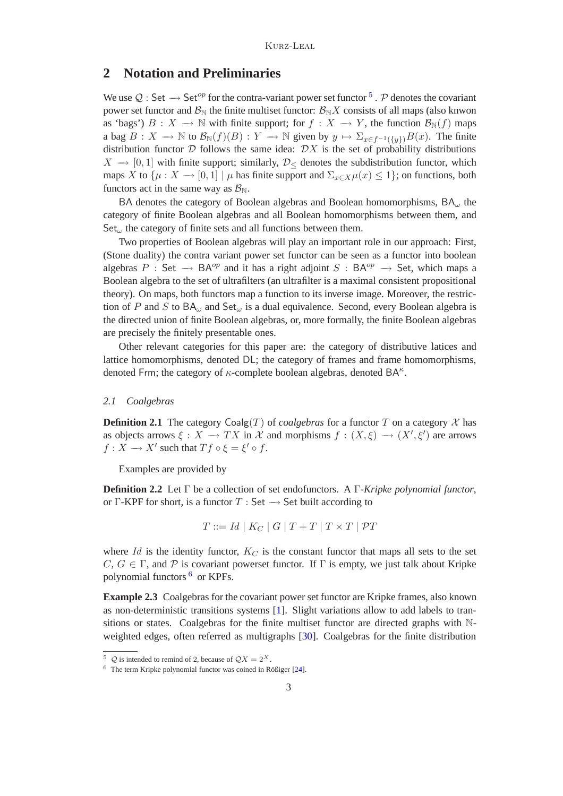### **2 Notation and Preliminaries**

<span id="page-2-0"></span>We use  $Q:$  Set  $\rightarrow$  Set<sup>op</sup> for the contra-variant power set functor  $\overline{5}$  $\overline{5}$  $\overline{5}$ . P denotes the covariant power set functor and  $\mathcal{B}_{\text{N}}$  the finite multiset functor:  $\mathcal{B}_{\text{N}}X$  consists of all maps (also knwon as 'bags')  $B: X \to \mathbb{N}$  with finite support; for  $f: X \to Y$ , the function  $\mathcal{B}_{\mathbb{N}}(f)$  maps a bag  $B: X \to \mathbb{N}$  to  $\mathcal{B}_{\mathbb{N}}(f)(B): Y \to \mathbb{N}$  given by  $y \mapsto \sum_{x \in f^{-1}(\{y\})} B(x)$ . The finite distribution functor  $D$  follows the same idea:  $DX$  is the set of probability distributions  $X \rightarrow [0, 1]$  with finite support; similarly,  $\mathcal{D}_{\leq}$  denotes the subdistribution functor, which maps X to  $\{\mu : X \to [0,1] \mid \mu \text{ has finite support and } \Sigma_{x \in X} \mu(x) \leq 1\}$ ; on functions, both functors act in the same way as  $\mathcal{B}_{\mathbb{N}}$ .

BA denotes the category of Boolean algebras and Boolean homomorphisms,  $BA_{\omega}$  the category of finite Boolean algebras and all Boolean homomorphisms between them, and  $Set_{\omega}$  the category of finite sets and all functions between them.

Two properties of Boolean algebras will play an important role in our approach: First, (Stone duality) the contra variant power set functor can be seen as a functor into boolean algebras P : Set  $\rightarrow$  BA<sup>op</sup> and it has a right adjoint S : BA<sup>op</sup>  $\rightarrow$  Set, which maps a Boolean algebra to the set of ultrafilters (an ultrafilter is a maximal consistent propositional theory). On maps, both functors map a function to its inverse image. Moreover, the restriction of P and S to  $BA_{\omega}$  and  $Set_{\omega}$  is a dual equivalence. Second, every Boolean algebra is the directed union of finite Boolean algebras, or, more formally, the finite Boolean algebras are precisely the finitely presentable ones.

Other relevant categories for this paper are: the category of distributive latices and lattice homomorphisms, denoted DL; the category of frames and frame homomorphisms, denoted Frm; the category of  $\kappa$ -complete boolean algebras, denoted BA $\kappa$ .

### *2.1 Coalgebras*

**Definition 2.1** The category  $\text{Coalg}(T)$  of *coalgebras* for a functor T on a category X has as objects arrows  $\xi : X \to TX$  in X and morphisms  $f : (X, \xi) \to (X', \xi')$  are arrows  $f: X \longrightarrow X'$  such that  $Tf \circ \xi = \xi' \circ f$ .

Examples are provided by

**Definition 2.2** Let Γ be a collection of set endofunctors. A Γ-*Kripke polynomial functor*, or Γ-KPF for short, is a functor  $T : Set \rightarrow Set$  built according to

$$
T ::= Id \mid K_C \mid G \mid T + T \mid T \times T \mid \mathcal{P}T
$$

where  $Id$  is the identity functor,  $K_C$  is the constant functor that maps all sets to the set C,  $G \in \Gamma$ , and P is covariant powerset functor. If  $\Gamma$  is empty, we just talk about Kripke polynomial functors [6](#page-2-2) or KPFs.

**Example 2.3** Coalgebras for the covariant power set functor are Kripke frames, also known as non-deterministic transitions systems [\[1\]](#page-20-0). Slight variations allow to add labels to transitions or states. Coalgebras for the finite multiset functor are directed graphs with Nweighted edges, often referred as multigraphs [\[30\]](#page-21-10). Coalgebras for the finite distribution

<sup>&</sup>lt;sup>5</sup>  $\mathcal{Q}$  is intended to remind of 2, because of  $\mathcal{Q}X = 2^X$ .

<span id="page-2-2"></span><span id="page-2-1"></span> $6$  The term Kripke polynomial functor was coined in Rößiger [\[24\]](#page-21-11).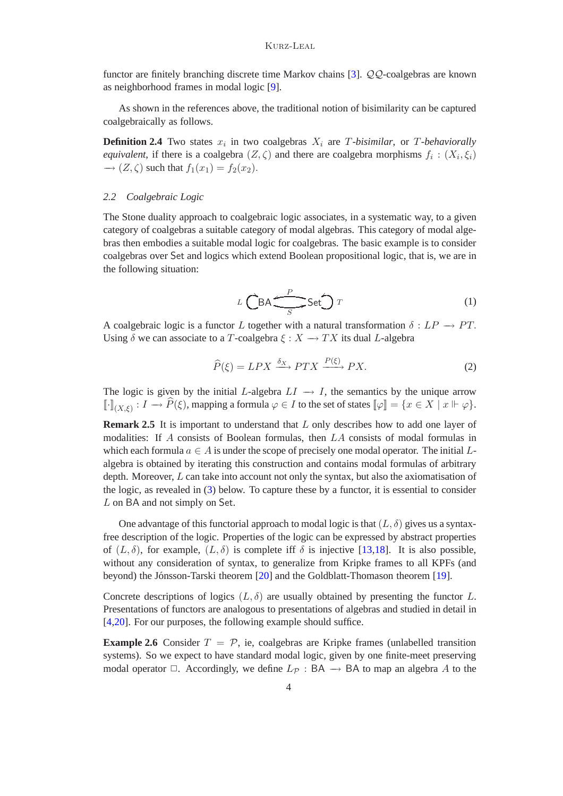functor are finitely branching discrete time Markov chains [\[3\]](#page-20-8). QQ-coalgebras are known as neighborhood frames in modal logic [\[9\]](#page-20-4).

As shown in the references above, the traditional notion of bisimilarity can be captured coalgebraically as follows.

**Definition 2.4** Two states  $x_i$  in two coalgebras  $X_i$  are T-bisimilar, or T-behaviorally *equivalent*, if there is a coalgebra  $(Z, \zeta)$  and there are coalgebra morphisms  $f_i : (X_i, \xi_i)$  $\rightarrow$   $(Z,\zeta)$  such that  $f_1(x_1) = f_2(x_2)$ .

### <span id="page-3-4"></span>*2.2 Coalgebraic Logic*

<span id="page-3-1"></span>The Stone duality approach to coalgebraic logic associates, in a systematic way, to a given category of coalgebras a suitable category of modal algebras. This category of modal algebras then embodies a suitable modal logic for coalgebras. The basic example is to consider coalgebras over Set and logics which extend Boolean propositional logic, that is, we are in the following situation:

<span id="page-3-0"></span>
$$
L\widehat{CBA} \underbrace{\overset{P}{\longrightarrow} Set} \widehat{O} \, T \tag{1}
$$

A coalgebraic logic is a functor L together with a natural transformation  $\delta : LP \rightarrow PT$ . Using  $\delta$  we can associate to a T-coalgebra  $\xi : X \to TX$  its dual L-algebra

$$
\widehat{P}(\xi) = LPX \xrightarrow{\delta_X} PTX \xrightarrow{P(\xi)} PX.
$$
\n(2)

The logic is given by the initial L-algebra  $LI \rightarrow I$ , the semantics by the unique arrow  $\llbracket \cdot \rrbracket_{(X,\xi)} : I \to \widehat{P}(\xi)$ , mapping a formula  $\varphi \in I$  to the set of states  $\llbracket \varphi \rrbracket = \{x \in X \mid x \Vdash \varphi\}.$ 

<span id="page-3-3"></span>**Remark 2.5** It is important to understand that L only describes how to add one layer of modalities: If A consists of Boolean formulas, then LA consists of modal formulas in which each formula  $a \in A$  is under the scope of precisely one modal operator. The initial Lalgebra is obtained by iterating this construction and contains modal formulas of arbitrary depth. Moreover, L can take into account not only the syntax, but also the axiomatisation of the logic, as revealed in [\(3\)](#page-4-0) below. To capture these by a functor, it is essential to consider L on BA and not simply on Set.

One advantage of this functorial approach to modal logic is that  $(L, \delta)$  gives us a syntaxfree description of the logic. Properties of the logic can be expressed by abstract properties of  $(L,\delta)$ , for example,  $(L,\delta)$  is complete iff  $\delta$  is injective [\[13](#page-21-12)[,18\]](#page-21-13). It is also possible, without any consideration of syntax, to generalize from Kripke frames to all KPFs (and beyond) the Jónsson-Tarski theorem [\[20\]](#page-21-14) and the Goldblatt-Thomason theorem [\[19\]](#page-21-15).

Concrete descriptions of logics  $(L, \delta)$  are usually obtained by presenting the functor L. Presentations of functors are analogous to presentations of algebras and studied in detail in [\[4](#page-20-9)[,20\]](#page-21-14). For our purposes, the following example should suffice.

<span id="page-3-2"></span>**Example 2.6** Consider  $T = P$ , ie, coalgebras are Kripke frames (unlabelled transition systems). So we expect to have standard modal logic, given by one finite-meet preserving modal operator  $\Box$ . Accordingly, we define  $L_{\mathcal{P}}$  : BA  $\rightarrow$  BA to map an algebra A to the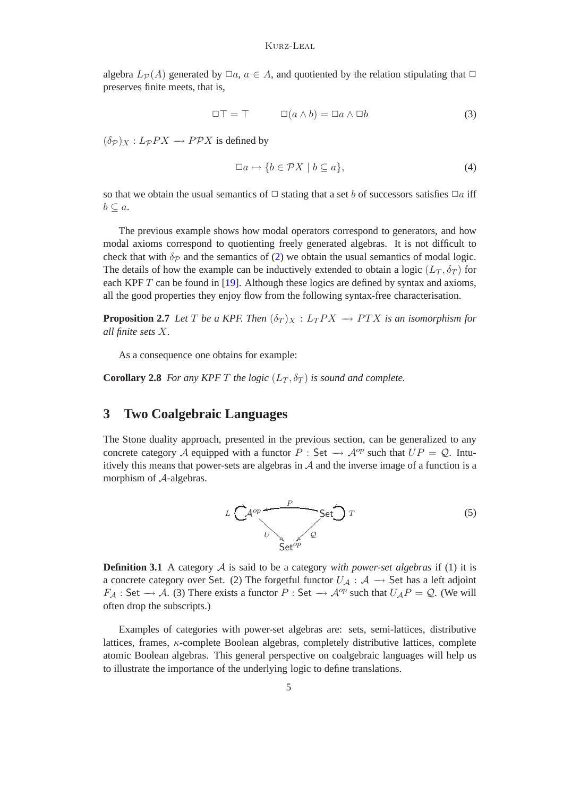<span id="page-4-0"></span>algebra  $L_{\mathcal{P}}(A)$  generated by  $\Box a, a \in A$ , and quotiented by the relation stipulating that  $\Box$ preserves finite meets, that is,

<span id="page-4-2"></span>
$$
\Box \top = \top \qquad \Box(a \wedge b) = \Box a \wedge \Box b \tag{3}
$$

 $(\delta_{\mathcal{P}})_{X}: L_{\mathcal{P}}PX \to P\mathcal{P}X$  is defined by

$$
\Box a \mapsto \{b \in \mathcal{P}X \mid b \subseteq a\},\tag{4}
$$

so that we obtain the usual semantics of  $\Box$  stating that a set b of successors satisfies  $\Box a$  iff  $b \subseteq a$ .

The previous example shows how modal operators correspond to generators, and how modal axioms correspond to quotienting freely generated algebras. It is not difficult to check that with  $\delta_p$  and the semantics of [\(2\)](#page-3-0) we obtain the usual semantics of modal logic. The details of how the example can be inductively extended to obtain a logic  $(L_T, \delta_T)$  for each KPF  $T$  can be found in [\[19\]](#page-21-15). Although these logics are defined by syntax and axioms, all the good properties they enjoy flow from the following syntax-free characterisation.

<span id="page-4-1"></span>**Proposition 2.7** *Let* T *be a KPF. Then*  $(\delta_T)_X : L_TPX \to PTX$  *is an isomorphism for all finite sets* X*.*

As a consequence one obtains for example:

**Corollary 2.8** *For any KPF T the logic*  $(L_T, \delta_T)$  *is sound and complete.* 

# **3 Two Coalgebraic Languages**

<span id="page-4-4"></span>The Stone duality approach, presented in the previous section, can be generalized to any concrete category A equipped with a functor P : Set  $\rightarrow$  A<sup>op</sup> such that  $UP = Q$ . Intuitively this means that power-sets are algebras in  $A$  and the inverse image of a function is a morphism of A-algebras.



<span id="page-4-3"></span>**Definition 3.1** A category  $A$  is said to be a category *with power-set algebras* if (1) it is a concrete category over Set. (2) The forgetful functor  $U_A : A \rightarrow$  Set has a left adjoint  $F_A$ : Set  $\rightarrow$  A. (3) There exists a functor P : Set  $\rightarrow$  A<sup>op</sup> such that  $U_A P = Q$ . (We will often drop the subscripts.)

Examples of categories with power-set algebras are: sets, semi-lattices, distributive lattices, frames,  $\kappa$ -complete Boolean algebras, completely distributive lattices, complete atomic Boolean algebras. This general perspective on coalgebraic languages will help us to illustrate the importance of the underlying logic to define translations.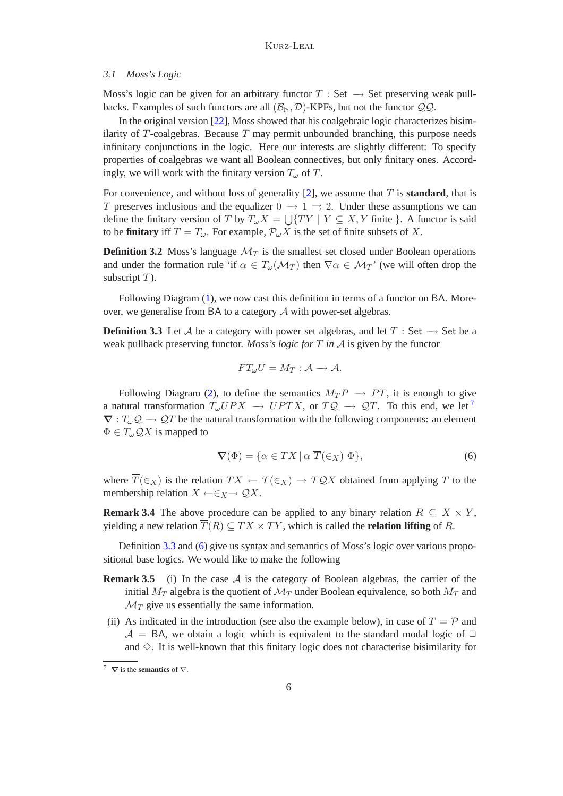#### *3.1 Moss's Logic*

Moss's logic can be given for an arbitrary functor  $T : Set \rightarrow Set$  preserving weak pullbacks. Examples of such functors are all  $(\mathcal{B}_{N}, \mathcal{D})$ -KPFs, but not the functor  $\mathcal{QQ}$ .

In the original version [\[22\]](#page-21-3), Moss showed that his coalgebraic logic characterizes bisimilarity of  $T$ -coalgebras. Because  $T$  may permit unbounded branching, this purpose needs infinitary conjunctions in the logic. Here our interests are slightly different: To specify properties of coalgebras we want all Boolean connectives, but only finitary ones. Accordingly, we will work with the finitary version  $T_{\omega}$  of T.

For convenience, and without loss of generality [\[2\]](#page-20-7), we assume that T is **standard**, that is T preserves inclusions and the equalizer  $0 \to 1 \implies 2$ . Under these assumptions we can define the finitary version of T by  $T_{\omega}X = \bigcup \{TY \mid Y \subseteq X, Y \text{ finite }\}$ . A functor is said to be **finitary** iff  $T = T_{\omega}$ . For example,  $\mathcal{P}_{\omega}X$  is the set of finite subsets of X.

<span id="page-5-3"></span>**Definition 3.2** Moss's language  $\mathcal{M}_T$  is the smallest set closed under Boolean operations and under the formation rule 'if  $\alpha \in T_\omega(\mathcal{M}_T)$  then  $\nabla \alpha \in \mathcal{M}_T$ ' (we will often drop the subscript  $T$ ).

Following Diagram [\(1\)](#page-3-1), we now cast this definition in terms of a functor on BA. Moreover, we generalise from BA to a category A with power-set algebras.

<span id="page-5-1"></span>**Definition 3.3** Let A be a category with power set algebras, and let  $T : Set \rightarrow Set$  be a weak pullback preserving functor. *Moss's logic for* T *in* A is given by the functor

$$
FT_{\omega}U=M_T:\mathcal{A}\longrightarrow\mathcal{A}.
$$

<span id="page-5-2"></span>Following Diagram [\(2\)](#page-3-0), to define the semantics  $M_T P \rightarrow PT$ , it is enough to give a natural transformation  $T_{\omega}UPX \rightarrow UPTX$ , or  $TQ \rightarrow QT$ . To this end, we let<sup>[7](#page-5-0)</sup>  $\nabla: T_{\omega} \mathcal{Q} \to \mathcal{Q}T$  be the natural transformation with the following components: an element  $\Phi \in T_{\omega} \mathcal{Q} X$  is mapped to

$$
\nabla(\Phi) = \{ \alpha \in TX \mid \alpha \overline{T}(\in_X) \Phi \},\tag{6}
$$

where  $\overline{T}(\in_X)$  is the relation  $TX \leftarrow T(\in_X) \rightarrow TQX$  obtained from applying T to the membership relation  $X \leftarrow \in_X \rightarrow \mathcal{Q}X$ .

<span id="page-5-4"></span>**Remark 3.4** The above procedure can be applied to any binary relation  $R \subseteq X \times Y$ , yielding a new relation  $\overline{T}(R) \subset TX \times TY$ , which is called the **relation lifting** of R.

Definition [3.3](#page-5-1) and [\(6\)](#page-5-2) give us syntax and semantics of Moss's logic over various propositional base logics. We would like to make the following

- **Remark 3.5** (i) In the case  $A$  is the category of Boolean algebras, the carrier of the initial  $M_T$  algebra is the quotient of  $\mathcal{M}_T$  under Boolean equivalence, so both  $M_T$  and  $\mathcal{M}_T$  give us essentially the same information.
- (ii) As indicated in the introduction (see also the example below), in case of  $T = \mathcal{P}$  and  $A = BA$ , we obtain a logic which is equivalent to the standard modal logic of  $\Box$ and  $\Diamond$ . It is well-known that this finitary logic does not characterise bisimilarity for

<span id="page-5-0"></span><sup>7</sup> ∇ is the **semantics** of ∇.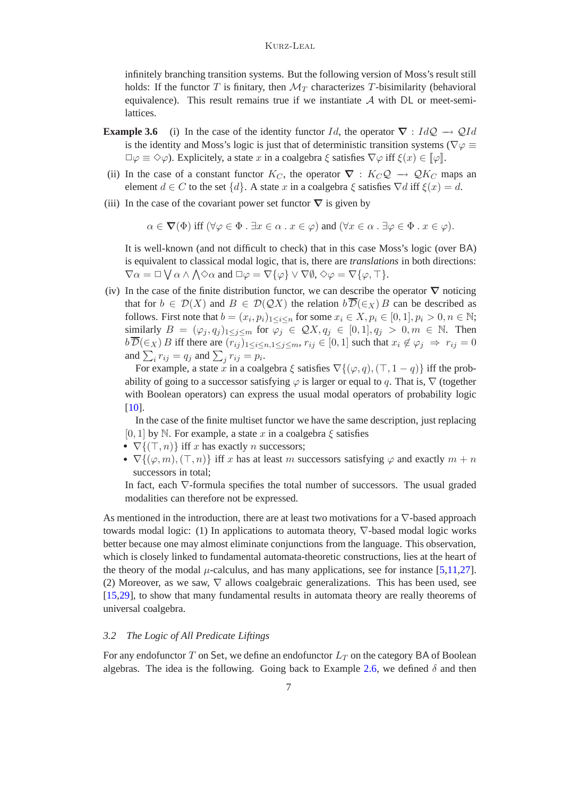infinitely branching transition systems. But the following version of Moss's result still holds: If the functor T is finitary, then  $\mathcal{M}_T$  characterizes T-bisimilarity (behavioral equivalence). This result remains true if we instantiate  $A$  with DL or meet-semilattices.

- <span id="page-6-0"></span>**Example 3.6** (i) In the case of the identity functor Id, the operator  $\nabla$  : IdQ  $\rightarrow$  QId is the identity and Moss's logic is just that of deterministic transition systems ( $\nabla \varphi \equiv$  $\Box \varphi \equiv \Diamond \varphi$ ). Explicitely, a state x in a coalgebra  $\xi$  satisfies  $\nabla \varphi$  iff  $\xi(x) \in [\varphi]$ .
- (ii) In the case of a constant functor  $K_C$ , the operator  $\nabla : K_C \mathcal{Q} \to \mathcal{Q} K_C$  maps an element  $d \in C$  to the set  $\{d\}$ . A state x in a coalgebra  $\xi$  satisfies  $\nabla d$  iff  $\xi(x) = d$ .
- (iii) In the case of the covariant power set functor  $\nabla$  is given by

 $\alpha \in \nabla(\Phi)$  iff  $(\forall \varphi \in \Phi \cdot \exists x \in \alpha \cdot x \in \varphi)$  and  $(\forall x \in \alpha \cdot \exists \varphi \in \Phi \cdot x \in \varphi)$ .

It is well-known (and not difficult to check) that in this case Moss's logic (over BA) is equivalent to classical modal logic, that is, there are *translations* in both directions:  $\nabla \alpha = \Box \bigvee \alpha \wedge \bigwedge \Diamond \alpha$  and  $\Box \varphi = \overline{\nabla} {\{\varphi\}} \vee \nabla \emptyset$ ,  $\diamond \varphi = \nabla {\{\varphi, \top\}}$ .

(iv) In the case of the finite distribution functor, we can describe the operator  $\nabla$  noticing that for  $b \in \mathcal{D}(X)$  and  $B \in \mathcal{D}(\mathcal{Q}X)$  the relation  $b\overline{\mathcal{D}}(\epsilon_X)B$  can be described as follows. First note that  $b = (x_i, p_i)_{1 \leq i \leq n}$  for some  $x_i \in X, p_i \in [0, 1], p_i > 0, n \in \mathbb{N}$ ; similarly  $B = (\varphi_j, q_j)_{1 \leq j \leq m}$  for  $\varphi_j \in \mathcal{Q}X, q_j \in [0, 1], q_j > 0, m \in \mathbb{N}$ . Then  $b\overline{\mathcal{D}}(\epsilon_X) B$  iff there are  $(r_{ij})_{1\leq i\leq n,1\leq j\leq m}$ ,  $r_{ij} \in [0,1]$  such that  $x_i \notin \varphi_j \Rightarrow r_{ij} = 0$ and  $\sum_i r_{ij} = q_j$  and  $\sum_j r_{ij} = p_i$ .

For example, a state x in a coalgebra  $\xi$  satisfies  $\nabla$ { $(\varphi, q)$ ,  $(\top, 1 - q)$ } iff the probability of going to a successor satisfying  $\varphi$  is larger or equal to q. That is,  $\nabla$  (together with Boolean operators) can express the usual modal operators of probability logic [\[10\]](#page-20-10).

In the case of the finite multiset functor we have the same description, just replacing [0, 1] by N. For example, a state x in a coalgebra  $\xi$  satisfies

- $\nabla$ { $(\top, n)$ } iff x has exactly n successors;
- $\nabla \{(\varphi, m), (\top, n)\}\$ iff x has at least m successors satisfying  $\varphi$  and exactly  $m + n$ successors in total;

In fact, each ∇-formula specifies the total number of successors. The usual graded modalities can therefore not be expressed.

As mentioned in the introduction, there are at least two motivations for a ∇-based approach towards modal logic: (1) In applications to automata theory, ∇-based modal logic works better because one may almost eliminate conjunctions from the language. This observation, which is closely linked to fundamental automata-theoretic constructions, lies at the heart of the theory of the modal  $\mu$ -calculus, and has many applications, see for instance [\[5,](#page-20-6)[11,](#page-20-5)[27\]](#page-21-4). (2) Moreover, as we saw,  $\nabla$  allows coalgebraic generalizations. This has been used, see [\[15,](#page-21-5)[29\]](#page-21-16), to show that many fundamental results in automata theory are really theorems of universal coalgebra.

### *3.2 The Logic of All Predicate Liftings*

For any endofunctor  $T$  on Set, we define an endofunctor  $L_T$  on the category BA of Boolean algebras. The idea is the following. Going back to Example [2.6,](#page-3-2) we defined  $\delta$  and then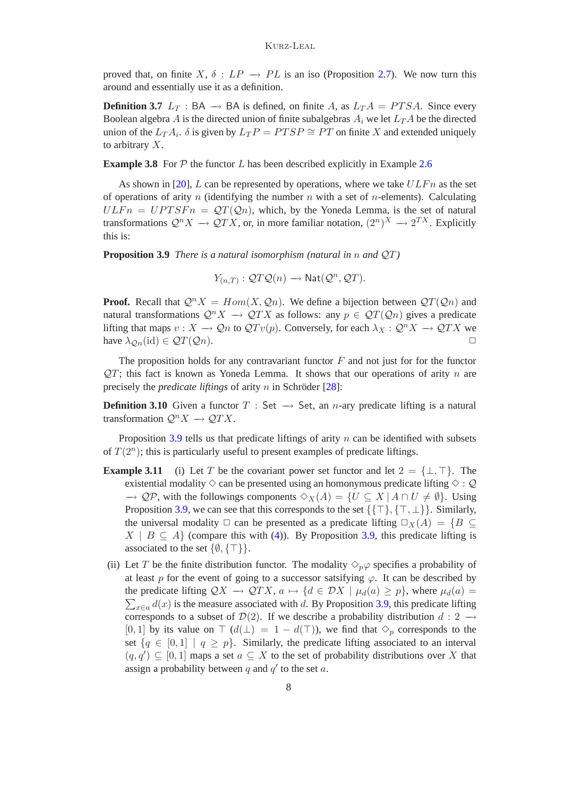proved that, on finite X,  $\delta : LP \rightarrow PL$  is an iso (Proposition [2.7\)](#page-4-1). We now turn this around and essentially use it as a definition.

<span id="page-7-2"></span>**Definition 3.7**  $L_T$ : BA  $\rightarrow$  BA is defined, on finite A, as  $L_T A = PTSA$ . Since every Boolean algebra A is the directed union of finite subalgebras  $A_i$  we let  $L_T A$  be the directed union of the  $L_T A_i$ .  $\delta$  is given by  $L_T P = PTSP \cong PT$  on finite X and extended uniquely to arbitrary X.

**Example 3.8** For  $P$  the functor  $L$  has been described explicitly in Example [2.6](#page-3-2)

As shown in [\[20\]](#page-21-14), L can be represented by operations, where we take  $ULFn$  as the set of operations of arity n (identifying the number  $n$  with a set of n-elements). Calculating  $ULFn = UPTSFn = QT(Qn)$ , which, by the Yoneda Lemma, is the set of natural transformations  $\mathcal{Q}^n X \to \mathcal{Q}TX$ , or, in more familiar notation,  $(2^n)^X \to 2^{TX}$ . Explicitly this is:

<span id="page-7-0"></span>**Proposition 3.9** *There is a natural isomorphism (natural in* n *and* QT*)*

$$
Y_{(n,T)}: \mathcal{Q}T\mathcal{Q}(n) \longrightarrow \text{Nat}(\mathcal{Q}^n, \mathcal{Q}T).
$$

**Proof.** Recall that  $Q^nX = Hom(X, Q_n)$ . We define a bijection between  $QT(Q_n)$  and natural transformations  $\mathcal{Q}^n X \to \mathcal{Q}^T X$  as follows: any  $p \in \mathcal{Q}^T(\mathcal{Q}_n)$  gives a predicate lifting that maps  $v : X \to \mathcal{Q}n$  to  $\mathcal{Q}Tv(p)$ . Conversely, for each  $\lambda_X : \mathcal{Q}^n X \to \mathcal{Q}TX$  we have  $\lambda_{\mathcal{Q}_n}(\text{id}) \in \mathcal{Q}(\mathcal{Q}_n)$ .

The proposition holds for any contravariant functor  $F$  and not just for for the functor  $QT$ ; this fact is known as Yoneda Lemma. It shows that our operations of arity n are precisely the *predicate liftings* of arity n in Schröder  $[28]$ :

**Definition 3.10** Given a functor  $T : Set \rightarrow Set$ , an *n*-ary predicate lifting is a natural transformation  $\mathcal{Q}^n X \to \mathcal{Q} T X$ .

Proposition  $3.9$  tells us that predicate liftings of arity  $n$  can be identified with subsets of  $T(2^n)$ ; this is particularly useful to present examples of predicate liftings.

- <span id="page-7-1"></span>**Example 3.11** (i) Let T be the covariant power set functor and let  $2 = \{\perp, \perp\}$ . The existential modality  $\diamond$  can be presented using an homonymous predicate lifting  $\diamond$  : Q  $\rightarrow$  QP, with the followings components  $\diamond_X(A) = \{U \subseteq X \mid A \cap U \neq \emptyset\}$ . Using Proposition [3.9,](#page-7-0) we can see that this corresponds to the set  $\{\{\top\}, \{\top, \bot\}\}\$ . Similarly, the universal modality  $\Box$  can be presented as a predicate lifting  $\Box_X(A) = \{B \subset$  $X \mid B \subseteq A$  (compare this with [\(4\)](#page-4-2)). By Proposition [3.9,](#page-7-0) this predicate lifting is associated to the set  $\{\emptyset, \{\top\}\}.$
- (ii) Let T be the finite distribution functor. The modality  $\Diamond_p \varphi$  specifies a probability of at least p for the event of going to a successor satsifying  $\varphi$ . It can be described by the predicate lifting  $QX \to QTX$ ,  $a \mapsto \{d \in DX \mid \mu_d(a) \geq p\}$ , where  $\mu_d(a) =$  $\sum_{x \in a} d(x)$  is the measure associated with d. By Proposition [3.9,](#page-7-0) this predicate lifting corresponds to a subset of  $\mathcal{D}(2)$ . If we describe a probability distribution  $d: 2 \rightarrow$ [0, 1] by its value on  $\top$  ( $d(\bot) = 1 - d(\top)$ ), we find that  $\diamond_p$  corresponds to the set  $\{q \in [0,1] \mid q \geq p\}$ . Similarly, the predicate lifting associated to an interval  $(q, q') \subseteq [0, 1]$  maps a set  $a \subseteq X$  to the set of probability distributions over X that assign a probability between  $q$  and  $q'$  to the set  $a$ .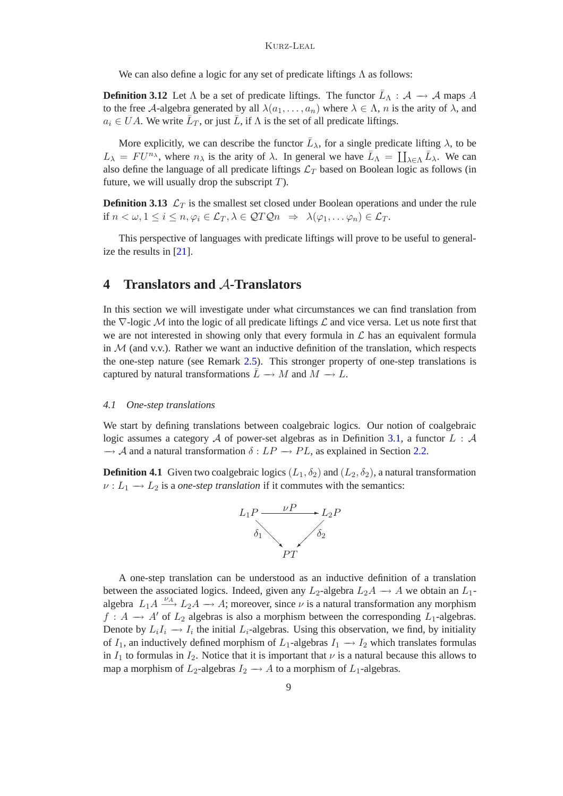#### Kurz-Leal

We can also define a logic for any set of predicate liftings  $\Lambda$  as follows:

<span id="page-8-0"></span>**Definition 3.12** Let  $\Lambda$  be a set of predicate liftings. The functor  $\bar{L}_{\Lambda} : A \to A$  maps A to the free A-algebra generated by all  $\lambda(a_1,\ldots,a_n)$  where  $\lambda \in \Lambda$ , n is the arity of  $\lambda$ , and  $a_i \in UA$ . We write  $\bar{L}_T$ , or just  $\bar{L}$ , if  $\Lambda$  is the set of all predicate liftings.

More explicitly, we can describe the functor  $\bar{L}_{\lambda}$ , for a single predicate lifting  $\lambda$ , to be  $L_{\lambda} = FU^{n_{\lambda}}$ , where  $n_{\lambda}$  is the arity of  $\lambda$ . In general we have  $\bar{L}_{\Lambda} = \coprod_{\lambda \in \Lambda} \bar{L}_{\lambda}$ . We can also define the language of all predicate liftings  $\mathcal{L}_T$  based on Boolean logic as follows (in future, we will usually drop the subscript  $T$ ).

<span id="page-8-2"></span>**Definition 3.13**  $\mathcal{L}_T$  is the smallest set closed under Boolean operations and under the rule if  $n < \omega, 1 \leq i \leq n, \varphi_i \in \mathcal{L}_T, \lambda \in \mathcal{QTQn} \Rightarrow \lambda(\varphi_1, \ldots \varphi_n) \in \mathcal{L}_T$ .

This perspective of languages with predicate liftings will prove to be useful to generalize the results in [\[21\]](#page-21-0).

### **4 Translators and** A**-Translators**

In this section we will investigate under what circumstances we can find translation from the  $\nabla$ -logic M into the logic of all predicate liftings  $\mathcal L$  and vice versa. Let us note first that we are not interested in showing only that every formula in  $\mathcal L$  has an equivalent formula in  $M$  (and v.v.). Rather we want an inductive definition of the translation, which respects the one-step nature (see Remark [2.5\)](#page-3-3). This stronger property of one-step translations is captured by natural transformations  $\overline{L} \rightarrow M$  and  $M \rightarrow L$ .

#### *4.1 One-step translations*

We start by defining translations between coalgebraic logics. Our notion of coalgebraic logic assumes a category  $A$  of power-set algebras as in Definition [3.1,](#page-4-3) a functor  $L : A$  $\rightarrow$  A and a natural transformation  $\delta$  :  $LP \rightarrow PL$ , as explained in Section [2.2.](#page-3-4)

<span id="page-8-1"></span>**Definition 4.1** Given two coalgebraic logics  $(L_1, \delta_2)$  and  $(L_2, \delta_2)$ , a natural transformation  $\nu : L_1 \longrightarrow L_2$  is a *one-step translation* if it commutes with the semantics:



A one-step translation can be understood as an inductive definition of a translation between the associated logics. Indeed, given any  $L_2$ -algebra  $L_2A \rightarrow A$  we obtain an  $L_1$ algebra  $L_1 A \xrightarrow{\nu_A} L_2 A \longrightarrow A$ ; moreover, since  $\nu$  is a natural transformation any morphism  $f : A \longrightarrow A'$  of  $L_2$  algebras is also a morphism between the corresponding  $L_1$ -algebras. Denote by  $L_iI_i \to I_i$  the initial  $L_i$ -algebras. Using this observation, we find, by initiality of  $I_1$ , an inductively defined morphism of  $L_1$ -algebras  $I_1 \rightarrow I_2$  which translates formulas in  $I_1$  to formulas in  $I_2$ . Notice that it is important that  $\nu$  is a natural because this allows to map a morphism of  $L_2$ -algebras  $I_2 \to A$  to a morphism of  $L_1$ -algebras.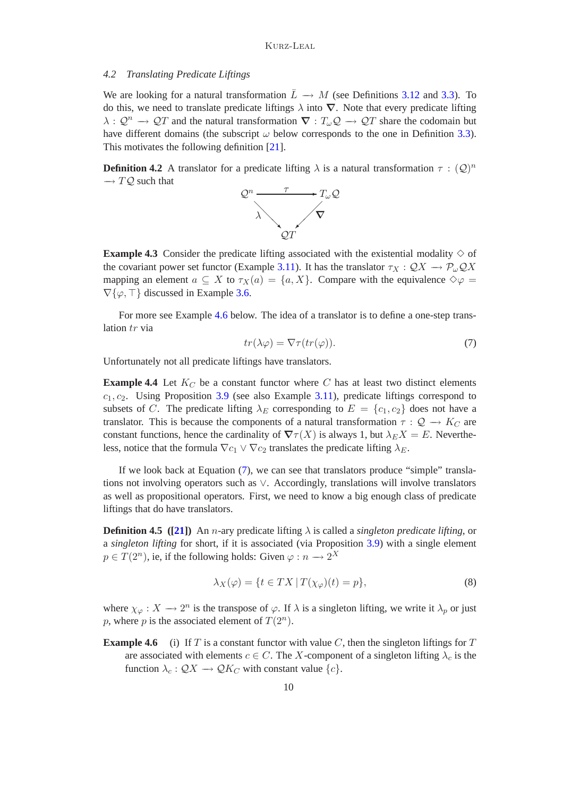#### *4.2 Translating Predicate Liftings*

We are looking for a natural transformation  $\overline{L} \rightarrow M$  (see Definitions [3.12](#page-8-0) and [3.3\)](#page-5-1). To do this, we need to translate predicate liftings  $\lambda$  into  $\nabla$ . Note that every predicate lifting  $\lambda: \mathcal{Q}^n \to \mathcal{Q}^n$  and the natural transformation  $\nabla: T_\omega \mathcal{Q} \to \mathcal{Q}^n$  share the codomain but have different domains (the subscript  $\omega$  below corresponds to the one in Definition [3.3\)](#page-5-1). This motivates the following definition [\[21\]](#page-21-0).

<span id="page-9-3"></span>**Definition 4.2** A translator for a predicate lifting  $\lambda$  is a natural transformation  $\tau : (Q)^n$  $\rightarrow TQ$  such that



<span id="page-9-2"></span>**Example 4.3** Consider the predicate lifting associated with the existential modality  $\diamond$  of the covariant power set functor (Example [3.11\)](#page-7-1). It has the translator  $\tau_X : \mathcal{Q}X \to \mathcal{P}_{\omega} \mathcal{Q}X$ mapping an element  $a \subseteq X$  to  $\tau_X(a) = \{a, X\}$ . Compare with the equivalence  $\diamond \varphi =$  $\nabla\{\varphi,\top\}$  discussed in Example [3.6.](#page-6-0)

<span id="page-9-1"></span>For more see Example [4.6](#page-9-0) below. The idea of a translator is to define a one-step translation tr via

$$
tr(\lambda \varphi) = \nabla \tau(tr(\varphi)).\tag{7}
$$

<span id="page-9-4"></span>Unfortunately not all predicate liftings have translators.

**Example 4.4** Let  $K_C$  be a constant functor where C has at least two distinct elements  $c_1, c_2$ . Using Proposition [3.9](#page-7-0) (see also Example [3.11\)](#page-7-1), predicate liftings correspond to subsets of C. The predicate lifting  $\lambda_E$  corresponding to  $E = \{c_1, c_2\}$  does not have a translator. This is because the components of a natural transformation  $\tau : \mathcal{Q} \to K_C$  are constant functions, hence the cardinality of  $\nabla \tau(X)$  is always 1, but  $\lambda_E X = E$ . Nevertheless, notice that the formula  $\nabla c_1 \vee \nabla c_2$  translates the predicate lifting  $\lambda_E$ .

If we look back at Equation [\(7\)](#page-9-1), we can see that translators produce "simple" translations not involving operators such as ∨. Accordingly, translations will involve translators as well as propositional operators. First, we need to know a big enough class of predicate liftings that do have translators.

**Definition 4.5** ([\[21\]](#page-21-0)) An *n*-ary predicate lifting  $\lambda$  is called a *singleton predicate lifting*, or a *singleton lifting* for short, if it is associated (via Proposition [3.9\)](#page-7-0) with a single element  $p \in T(2^n)$ , ie, if the following holds: Given  $\varphi : n \longrightarrow 2^X$ 

$$
\lambda_X(\varphi) = \{ t \in TX \, | \, T(\chi_{\varphi})(t) = p \},\tag{8}
$$

where  $\chi_{\varphi}: X \to 2^n$  is the transpose of  $\varphi$ . If  $\lambda$  is a singleton lifting, we write it  $\lambda_p$  or just p, where p is the associated element of  $T(2^n)$ .

<span id="page-9-0"></span>**Example 4.6** (i) If T is a constant functor with value C, then the singleton liftings for T are associated with elements  $c \in C$ . The X-component of a singleton lifting  $\lambda_c$  is the function  $\lambda_c$  :  $\mathcal{Q}X \rightarrow \mathcal{Q}K_C$  with constant value  $\{c\}$ .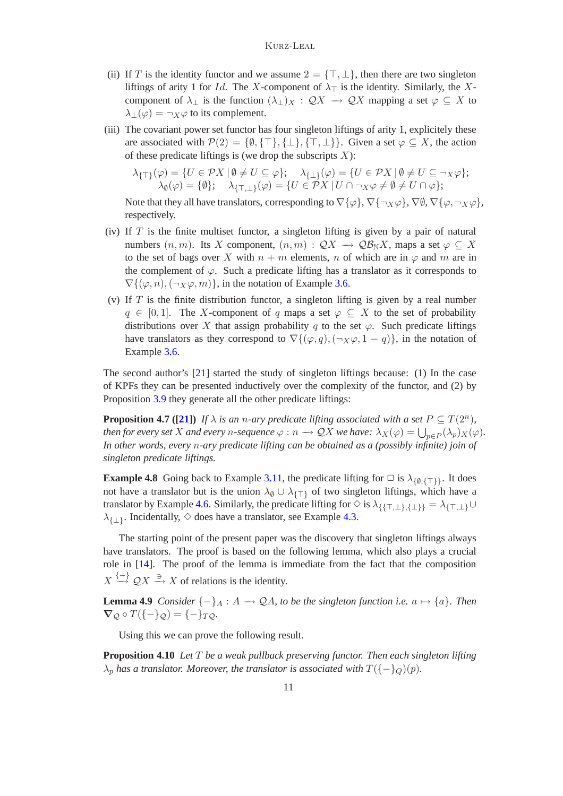- (ii) If T is the identity functor and we assume  $2 = \{\top, \bot\}$ , then there are two singleton liftings of arity 1 for *Id.* The X-component of  $\lambda_{\top}$  is the identity. Similarly, the Xcomponent of  $\lambda_{\perp}$  is the function  $(\lambda_{\perp})_X : \mathcal{Q}X \to \mathcal{Q}X$  mapping a set  $\varphi \subseteq X$  to  $\lambda_{\perp}(\varphi) = \neg_X \varphi$  to its complement.
- (iii) The covariant power set functor has four singleton liftings of arity 1, explicitely these are associated with  $\mathcal{P}(2) = \{\emptyset, \{\top\}, \{\bot\}, \{\top, \bot\}\}\$ . Given a set  $\varphi \subseteq X$ , the action of these predicate liftings is (we drop the subscripts  $X$ ):

$$
\lambda_{\{\top\}}(\varphi) = \{ U \in \mathcal{P}X \mid \emptyset \neq U \subseteq \varphi \}; \quad \lambda_{\{\bot\}}(\varphi) = \{ U \in \mathcal{P}X \mid \emptyset \neq U \subseteq \neg_X \varphi \}; \lambda_{\emptyset}(\varphi) = \{\emptyset \}; \quad \lambda_{\{\top,\bot\}}(\varphi) = \{ U \in \mathcal{P}X \mid U \cap \neg_X \varphi \neq \emptyset \neq U \cap \varphi \};
$$

Note that they all have translators, corresponding to  $\nabla {\varphi}$ ,  $\nabla {\varphi}$ ,  $\nabla {\varphi}$ ,  $\nabla {\varphi}$ ,  $\nabla {\varphi}$ ,  $\nabla {\varphi}$ , respectively.

- (iv) If  $T$  is the finite multiset functor, a singleton lifting is given by a pair of natural numbers  $(n, m)$ . Its X component,  $(n, m) : \mathcal{Q}X \to \mathcal{Q}B_NX$ , maps a set  $\varphi \subseteq X$ to the set of bags over X with  $n + m$  elements, n of which are in  $\varphi$  and m are in the complement of  $\varphi$ . Such a predicate lifting has a translator as it corresponds to  $\nabla$ {( $\varphi$ , n), ( $\neg$  x $\varphi$ , m)}, in the notation of Example [3.6.](#page-6-0)
- (v) If  $T$  is the finite distribution functor, a singleton lifting is given by a real number  $q \in [0,1]$ . The X-component of q maps a set  $\varphi \subseteq X$  to the set of probability distributions over X that assign probability q to the set  $\varphi$ . Such predicate liftings have translators as they correspond to  $\nabla$ { $(\varphi, q)$ ,  $(\neg x \varphi, 1 - q)$ }, in the notation of Example [3.6.](#page-6-0)

The second author's [\[21\]](#page-21-0) started the study of singleton liftings because: (1) In the case of KPFs they can be presented inductively over the complexity of the functor, and (2) by Proposition [3.9](#page-7-0) they generate all the other predicate liftings:

<span id="page-10-1"></span>**Proposition 4.7** ([\[21\]](#page-21-0)) If  $\lambda$  is an n-ary predicate lifting associated with a set  $P \subseteq T(2^n)$ , *then for every set* X *and every n*-sequence  $\varphi : n \to \mathcal{Q}X$  *we have:*  $\lambda_X(\varphi) = \bigcup_{p \in P} (\lambda_p)_X(\varphi)$ *. In other words, every* n*-ary predicate lifting can be obtained as a (possibly infinite) join of singleton predicate liftings.*

**Example 4.8** Going back to Example [3.11,](#page-7-1) the predicate lifting for  $\Box$  is  $\lambda_{\{0,\{\top\}\}}$ . It does not have a translator but is the union  $\lambda_{\emptyset} \cup \lambda_{\{\top\}}$  of two singleton liftings, which have a translator by Example [4.6.](#page-9-0) Similarly, the predicate lifting for  $\diamond$  is  $\lambda_{\{\{\top,\bot\},\{\bot\}\}} = \lambda_{\{\top,\bot\}} \cup$  $\lambda_{\{1\}}$ . Incidentally,  $\diamond$  does have a translator, see Example [4.3.](#page-9-2)

The starting point of the present paper was the discovery that singleton liftings always have translators. The proof is based on the following lemma, which also plays a crucial role in [\[14\]](#page-21-17). The proof of the lemma is immediate from the fact that the composition  $X \stackrel{\{-\}}{\longrightarrow} QX \stackrel{\supset}{\longrightarrow} X$  of relations is the identity.

<span id="page-10-0"></span>**Lemma 4.9** *Consider*  $\{-\}_A : A \to \mathcal{Q}A$ , to be the singleton function i.e.  $a \mapsto \{a\}$ . Then  $\nabla \varphi \circ T(\{-\}\varphi) = \{-\}\tau \varphi.$ 

Using this we can prove the following result.

<span id="page-10-2"></span>**Proposition 4.10** *Let* T *be a weak pullback preserving functor. Then each singleton lifting*  $\lambda_p$  *has a translator. Moreover, the translator is associated with*  $T(\{-\}_Q)(p)$ *.*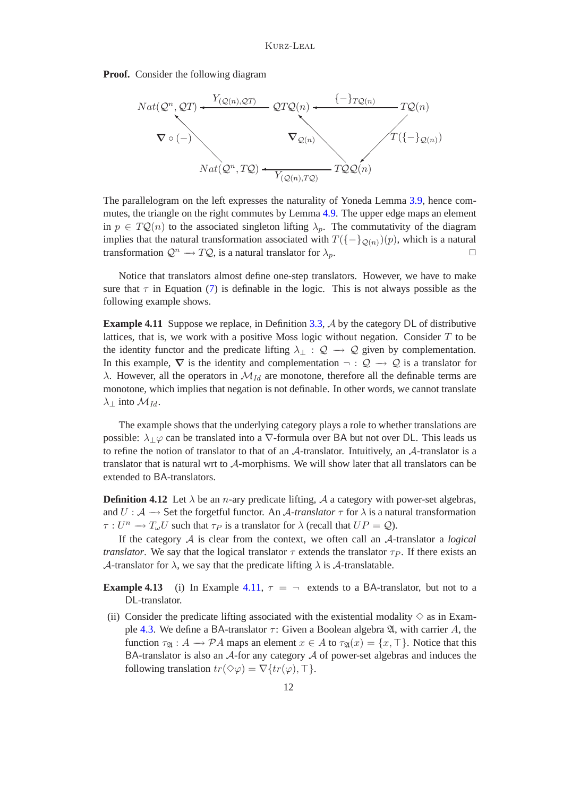**Proof.** Consider the following diagram



The parallelogram on the left expresses the naturality of Yoneda Lemma [3.9,](#page-7-0) hence commutes, the triangle on the right commutes by Lemma [4.9.](#page-10-0) The upper edge maps an element in  $p \in TQ(n)$  to the associated singleton lifting  $\lambda_p$ . The commutativity of the diagram implies that the natural transformation associated with  $T(\{-\}_{{\mathcal{Q}}(n)})(p)$ , which is a natural transformation  $\mathcal{Q}^n \to T\mathcal{Q}$ , is a natural translator for  $\lambda_p$ .

Notice that translators almost define one-step translators. However, we have to make sure that  $\tau$  in Equation [\(7\)](#page-9-1) is definable in the logic. This is not always possible as the following example shows.

<span id="page-11-0"></span>**Example 4.11** Suppose we replace, in Definition [3.3,](#page-5-1) A by the category DL of distributive lattices, that is, we work with a positive Moss logic without negation. Consider  $T$  to be the identity functor and the predicate lifting  $\lambda_{\perp} : \mathcal{Q} \to \mathcal{Q}$  given by complementation. In this example,  $\nabla$  is the identity and complementation  $\neg : \mathcal{Q} \to \mathcal{Q}$  is a translator for λ. However, all the operators in  $\mathcal{M}_{Id}$  are monotone, therefore all the definable terms are monotone, which implies that negation is not definable. In other words, we cannot translate  $\lambda_{\perp}$  into  $\mathcal{M}_{Id}$ .

The example shows that the underlying category plays a role to whether translations are possible:  $\lambda \downarrow \varphi$  can be translated into a  $\nabla$ -formula over BA but not over DL. This leads us to refine the notion of translator to that of an A-translator. Intuitively, an A-translator is a translator that is natural wrt to A-morphisms. We will show later that all translators can be extended to BA-translators.

<span id="page-11-1"></span>**Definition 4.12** Let  $\lambda$  be an *n*-ary predicate lifting, A a category with power-set algebras, and  $U : A \longrightarrow$  Set the forgetful functor. An A-translator  $\tau$  for  $\lambda$  is a natural transformation  $\tau: U^n \to T_\omega U$  such that  $\tau_P$  is a translator for  $\lambda$  (recall that  $UP = Q$ ).

If the category A is clear from the context, we often call an A-translator a *logical translator*. We say that the logical translator  $\tau$  extends the translator  $\tau_P$ . If there exists an A-translator for  $\lambda$ , we say that the predicate lifting  $\lambda$  is A-translatable.

**Example 4.13** (i) In Example [4.11,](#page-11-0)  $\tau = \neg$  extends to a BA-translator, but not to a DL-translator.

(ii) Consider the predicate lifting associated with the existential modality  $\diamond$  as in Exam-ple [4.3.](#page-9-2) We define a BA-translator  $\tau$ : Given a Boolean algebra  $\mathfrak{A}$ , with carrier A, the function  $\tau_{\mathfrak{A}} : A \longrightarrow \mathcal{P}A$  maps an element  $x \in A$  to  $\tau_{\mathfrak{A}}(x) = \{x, \top\}$ . Notice that this BA-translator is also an  $A$ -for any category  $A$  of power-set algebras and induces the following translation  $tr(\Diamond \varphi) = \nabla \{ tr(\varphi), \top \}.$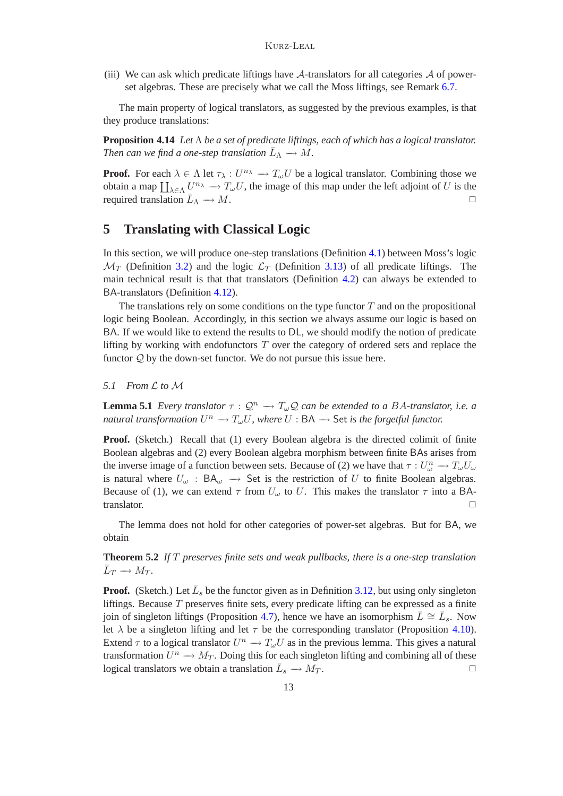(iii) We can ask which predicate liftings have  $A$ -translators for all categories  $A$  of powerset algebras. These are precisely what we call the Moss liftings, see Remark [6.7.](#page-16-0)

The main property of logical translators, as suggested by the previous examples, is that they produce translations:

**Proposition 4.14** *Let* Λ *be a set of predicate liftings, each of which has a logical translator.* Then can we find a one-step translation  $\bar{L}_{\Lambda} \longrightarrow M$ .

**Proof.** For each  $\lambda \in \Lambda$  let  $\tau_{\lambda}: U^{n_{\lambda}} \to T_{\omega}U$  be a logical translator. Combining those we obtain a map  $\coprod_{\lambda \in \Lambda} U^{n_{\lambda}} \to T_{\omega}U$ , the image of this map under the left adjoint of U is the required translation  $L_{\Lambda} \longrightarrow M$ .  $\Lambda \to M.$ 

# **5 Translating with Classical Logic**

In this section, we will produce one-step translations (Definition [4.1\)](#page-8-1) between Moss's logic  $\mathcal{M}_T$  (Definition [3.2\)](#page-5-3) and the logic  $\mathcal{L}_T$  (Definition [3.13\)](#page-8-2) of all predicate liftings. The main technical result is that that translators (Definition [4.2\)](#page-9-3) can always be extended to BA-translators (Definition [4.12\)](#page-11-1).

The translations rely on some conditions on the type functor  $T$  and on the propositional logic being Boolean. Accordingly, in this section we always assume our logic is based on BA. If we would like to extend the results to DL, we should modify the notion of predicate lifting by working with endofunctors  $T$  over the category of ordered sets and replace the functor  $Q$  by the down-set functor. We do not pursue this issue here.

<span id="page-12-1"></span>*5.1 From* L *to* M

**Lemma 5.1** *Every translator*  $\tau : \mathcal{Q}^n \to T_\omega \mathcal{Q}$  *can be extended to a BA-translator, i.e. a natural transformation*  $U^n \to T_\omega U$ , where  $U : BA \to Set$  *is the forgetful functor.* 

**Proof.** (Sketch.) Recall that (1) every Boolean algebra is the directed colimit of finite Boolean algebras and (2) every Boolean algebra morphism between finite BAs arises from the inverse image of a function between sets. Because of (2) we have that  $\tau: U_{\omega}^n \to T_{\omega}U_{\omega}$ is natural where  $U_{\omega}$ : BA $_{\omega} \rightarrow$  Set is the restriction of U to finite Boolean algebras. Because of (1), we can extend  $\tau$  from  $U_{\omega}$  to U. This makes the translator  $\tau$  into a BAtranslator.  $\square$ 

The lemma does not hold for other categories of power-set algebras. But for BA, we obtain

<span id="page-12-0"></span>**Theorem 5.2** *If* T *preserves finite sets and weak pullbacks, there is a one-step translation*  $\bar{L}_T \longrightarrow M_T$ .

**Proof.** (Sketch.) Let  $\overline{L}_s$  be the functor given as in Definition [3.12,](#page-8-0) but using only singleton liftings. Because  $T$  preserves finite sets, every predicate lifting can be expressed as a finite join of singleton liftings (Proposition [4.7\)](#page-10-1), hence we have an isomorphism  $\overline{L} \cong \overline{L}_s$ . Now let  $\lambda$  be a singleton lifting and let  $\tau$  be the corresponding translator (Proposition [4.10\)](#page-10-2). Extend  $\tau$  to a logical translator  $U^n \to T_\omega U$  as in the previous lemma. This gives a natural transformation  $U^n \to M_T$ . Doing this for each singleton lifting and combining all of these logical translators we obtain a translation  $\bar{L}_s \to M_T$ .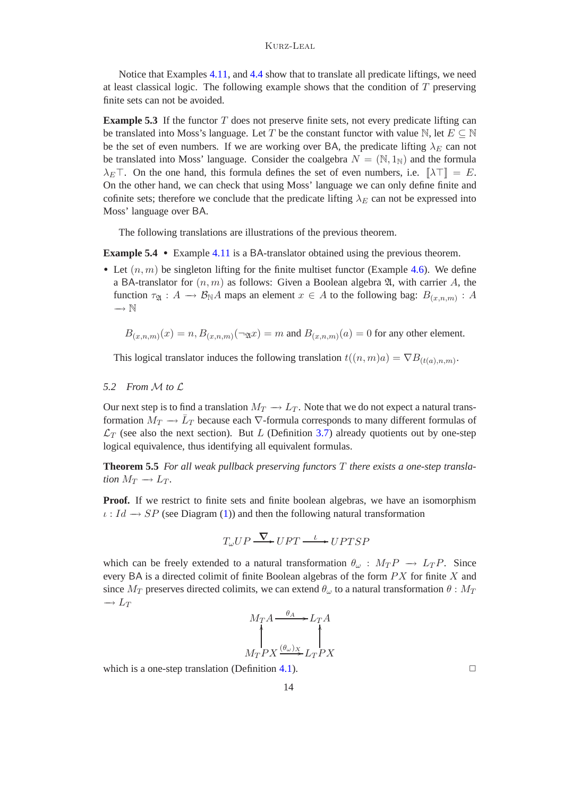Notice that Examples [4.11,](#page-11-0) and [4.4](#page-9-4) show that to translate all predicate liftings, we need at least classical logic. The following example shows that the condition of  $T$  preserving finite sets can not be avoided.

<span id="page-13-1"></span>**Example 5.3** If the functor  $T$  does not preserve finite sets, not every predicate lifting can be translated into Moss's language. Let T be the constant functor with value N, let  $E \subseteq \mathbb{N}$ be the set of even numbers. If we are working over BA, the predicate lifting  $\lambda_E$  can not be translated into Moss' language. Consider the coalgebra  $N = (\mathbb{N}, 1_{\mathbb{N}})$  and the formula  $\lambda_E\top$ . On the one hand, this formula defines the set of even numbers, i.e.  $[\lambda\top] = E$ . On the other hand, we can check that using Moss' language we can only define finite and cofinite sets; therefore we conclude that the predicate lifting  $\lambda_E$  can not be expressed into Moss' language over BA.

The following translations are illustrations of the previous theorem.

**Example 5.4** • Example [4.11](#page-11-0) is a BA-translator obtained using the previous theorem.

• Let  $(n, m)$  be singleton lifting for the finite multiset functor (Example [4.6\)](#page-9-0). We define a BA-translator for  $(n, m)$  as follows: Given a Boolean algebra  $\mathfrak{A}$ , with carrier A, the function  $\tau_{\mathfrak{A}}: A \longrightarrow \mathcal{B}_{\mathbb{N}}A$  maps an element  $x \in A$  to the following bag:  $B_{(x,n,m)}: A$  $\rightarrow \mathbb{N}$ 

$$
B_{(x,n,m)}(x) = n, B_{(x,n,m)}(\neg \mathfrak{A}x) = m \text{ and } B_{(x,n,m)}(a) = 0 \text{ for any other element.}
$$

This logical translator induces the following translation  $t((n,m)a) = \nabla B_{(t(a),n,m)}$ .

### *5.2 From* M *to* L

Our next step is to find a translation  $M_T \to L_T$ . Note that we do not expect a natural transformation  $M_T \to \bar{L}_T$  because each  $\nabla$ -formula corresponds to many different formulas of  $\mathcal{L}_T$  (see also the next section). But L (Definition [3.7\)](#page-7-2) already quotients out by one-step logical equivalence, thus identifying all equivalent formulas.

<span id="page-13-0"></span>**Theorem 5.5** *For all weak pullback preserving functors* T *there exists a one-step translation*  $M_T \to L_T$ .

Proof. If we restrict to finite sets and finite boolean algebras, we have an isomorphism  $\iota: Id \longrightarrow SP$  (see Diagram [\(1\)](#page-3-1)) and then the following natural transformation

$$
T_{\omega}UP \xrightarrow{\nabla} UPT \xrightarrow{\iota} UPTSP
$$

which can be freely extended to a natural transformation  $\theta_{\omega} : M_T P \to L_T P$ . Since every BA is a directed colimit of finite Boolean algebras of the form  $PX$  for finite  $X$  and since  $M_T$  preserves directed colimits, we can extend  $\theta_{\omega}$  to a natural transformation  $\theta : M_T$  $\rightarrow L_T$ 

$$
M_T A \xrightarrow{\theta_A} L_T A
$$
  

$$
M_T PX \xrightarrow{\theta_{\omega})_X} L_T PX
$$

which is a one-step translation (Definition [4.1\)](#page-8-1).  $\Box$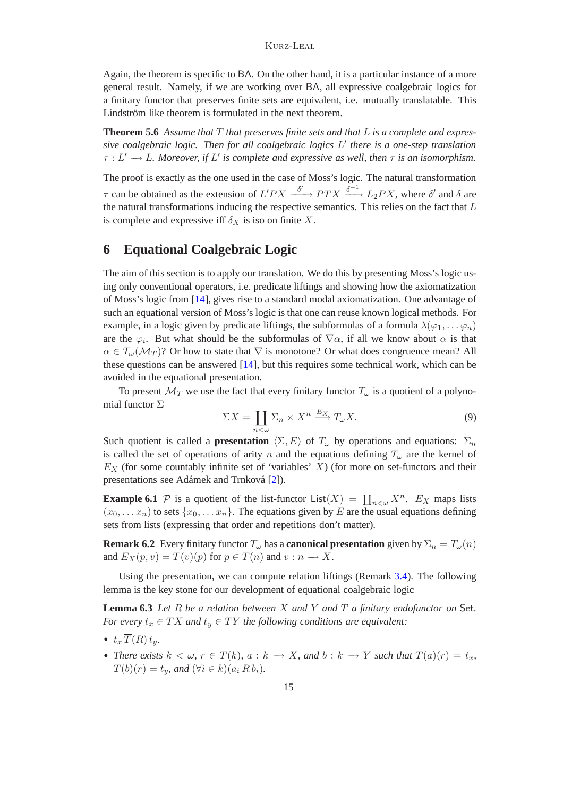Again, the theorem is specific to BA. On the other hand, it is a particular instance of a more general result. Namely, if we are working over BA, all expressive coalgebraic logics for a finitary functor that preserves finite sets are equivalent, i.e. mutually translatable. This Lindström like theorem is formulated in the next theorem.

<span id="page-14-2"></span>**Theorem 5.6** *Assume that* T *that preserves finite sets and that* L *is a complete and expressive coalgebraic logic. Then for all coalgebraic logics* L ′ *there is a one-step translation*  $\tau : L' \longrightarrow L$ . Moreover, if L' is complete and expressive as well, then  $\tau$  *is an isomorphism.* 

The proof is exactly as the one used in the case of Moss's logic. The natural transformation  $\tau$  can be obtained as the extension of  $L'PX \xrightarrow{\delta'} PTX \xrightarrow{\delta^{-1}} L_2PX$ , where  $\delta'$  and  $\delta$  are the natural transformations inducing the respective semantics. This relies on the fact that L is complete and expressive iff  $\delta_X$  is iso on finite X.

# **6 Equational Coalgebraic Logic**

The aim of this section is to apply our translation. We do this by presenting Moss's logic using only conventional operators, i.e. predicate liftings and showing how the axiomatization of Moss's logic from [\[14\]](#page-21-17), gives rise to a standard modal axiomatization. One advantage of such an equational version of Moss's logic is that one can reuse known logical methods. For example, in a logic given by predicate liftings, the subformulas of a formula  $\lambda(\varphi_1,\ldots,\varphi_n)$ are the  $\varphi_i$ . But what should be the subformulas of  $\nabla \alpha$ , if all we know about  $\alpha$  is that  $\alpha \in T_{\omega}(\mathcal{M}_T)$ ? Or how to state that  $\nabla$  is monotone? Or what does congruence mean? All these questions can be answered [\[14\]](#page-21-17), but this requires some technical work, which can be avoided in the equational presentation.

To present  $\mathcal{M}_T$  we use the fact that every finitary functor  $T_\omega$  is a quotient of a polynomial functor Σ

$$
\Sigma X = \coprod_{n < \omega} \Sigma_n \times X^n \xrightarrow{E_X} T_\omega X. \tag{9}
$$

Such quotient is called a **presentation**  $\langle \Sigma, E \rangle$  of  $T_{\omega}$  by operations and equations:  $\Sigma_n$ is called the set of operations of arity n and the equations defining  $T_{\omega}$  are the kernel of  $E<sub>X</sub>$  (for some countably infinite set of 'variables' X) (for more on set-functors and their presentations see Adámek and Trnková [\[2\]](#page-20-7)).

<span id="page-14-1"></span>**Example 6.1** P is a quotient of the list-functor  $List(X) = \coprod_{n<\omega} X^n$ .  $E_X$  maps lists  $(x_0,...,x_n)$  to sets  $\{x_0,...,x_n\}$ . The equations given by E are the usual equations defining sets from lists (expressing that order and repetitions don't matter).

<span id="page-14-3"></span>**Remark 6.2** Every finitary functor  $T_{\omega}$  has a **canonical presentation** given by  $\Sigma_n = T_{\omega}(n)$ and  $E_X(p, v) = T(v)(p)$  for  $p \in T(n)$  and  $v : n \to X$ .

Using the presentation, we can compute relation liftings (Remark [3.4\)](#page-5-4). The following lemma is the key stone for our development of equational coalgebraic logic

<span id="page-14-0"></span>**Lemma 6.3** *Let* R *be a relation between* X *and* Y *and* T *a finitary endofunctor on* Set*. For every*  $t_x \in TX$  *and*  $t_y \in TY$  *the following conditions are equivalent:* 

- $t<sub>x</sub>$   $\overline{T}(R)$   $t<sub>y</sub>$ .
- *There exists*  $k < \omega$ ,  $r \in T(k)$ ,  $a : k \to X$ , and  $b : k \to Y$  such that  $T(a)(r) = t_x$ ,  $T(b)(r) = t_y$ , and  $(\forall i \in k)(a_i R b_i)$ .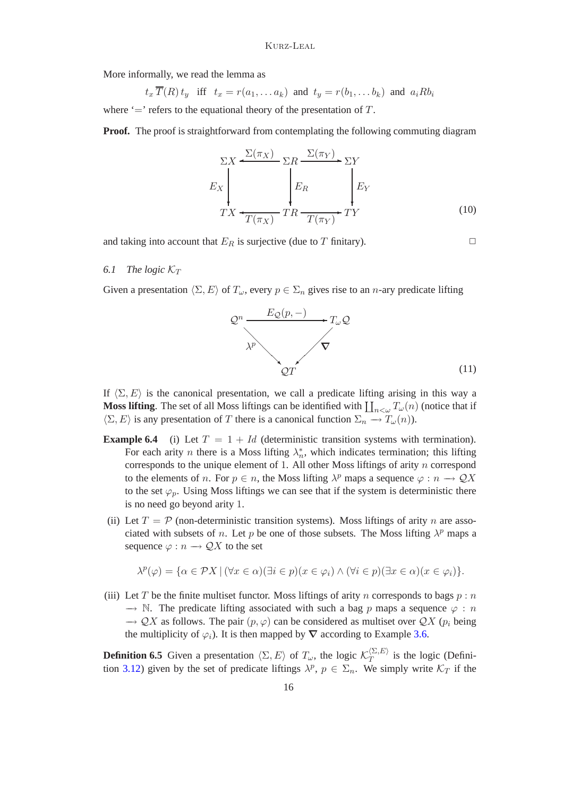More informally, we read the lemma as

$$
t_x \overline{T}(R) t_y
$$
 iff  $t_x = r(a_1, \ldots a_k)$  and  $t_y = r(b_1, \ldots b_k)$  and  $a_i R b_i$ 

where  $\equiv$  refers to the equational theory of the presentation of T.

**Proof.** The proof is straightforward from contemplating the following commuting diagram

<span id="page-15-1"></span>
$$
\Sigma X \xleftarrow{\Sigma(\pi_X)} \Sigma R \xrightarrow{\Sigma(\pi_Y)} \Sigma Y
$$
\n
$$
E_X \xleftarrow{T(X)} T R \xrightarrow{T(\pi_Y)} T R \xrightarrow{T(\pi_Y)} T Y
$$
\n(10)

and taking into account that  $E_R$  is surjective (due to T finitary).

### 6.1 The logic  $K_T$

Given a presentation  $\langle \Sigma, E \rangle$  of  $T_{\omega}$ , every  $p \in \Sigma_n$  gives rise to an n-ary predicate lifting

<span id="page-15-0"></span>

If  $\langle \Sigma, E \rangle$  is the canonical presentation, we call a predicate lifting arising in this way a **Moss lifting**. The set of all Moss liftings can be identified with  $\prod_{n<\omega}T_{\omega}(n)$  (notice that if  $\langle \Sigma, E \rangle$  is any presentation of T there is a canonical function  $\Sigma_n \to T_\omega(n)$ .

- **Example 6.4** (i) Let  $T = 1 + Id$  (deterministic transition systems with termination). For each arity *n* there is a Moss lifting  $\lambda_n^*$ , which indicates termination; this lifting corresponds to the unique element of 1. All other Moss liftings of arity  $n$  correspond to the elements of *n*. For  $p \in n$ , the Moss lifting  $\lambda^p$  maps a sequence  $\varphi : n \to \mathcal{Q}X$ to the set  $\varphi_p$ . Using Moss liftings we can see that if the system is deterministic there is no need go beyond arity 1.
- (ii) Let  $T = P$  (non-deterministic transition systems). Moss liftings of arity n are associated with subsets of *n*. Let *p* be one of those subsets. The Moss lifting  $\lambda^p$  maps a sequence  $\varphi : n \longrightarrow \mathcal{Q}X$  to the set

$$
\lambda^{p}(\varphi) = \{ \alpha \in \mathcal{P}X \mid (\forall x \in \alpha)(\exists i \in p)(x \in \varphi_{i}) \land (\forall i \in p)(\exists x \in \alpha)(x \in \varphi_{i}) \}.
$$

(iii) Let T be the finite multiset functor. Moss liftings of arity n corresponds to bags  $p : n$  $\rightarrow$  N. The predicate lifting associated with such a bag p maps a sequence  $\varphi$ : n  $\rightarrow$  QX as follows. The pair  $(p, \varphi)$  can be considered as multiset over QX  $(p_i)$  being the multiplicity of  $\varphi_i$ ). It is then mapped by  $\nabla$  according to Example [3.6.](#page-6-0)

**Definition 6.5** Given a presentation  $\langle \Sigma, E \rangle$  of  $T_{\omega}$ , the logic  $\mathcal{K}_T^{\langle \Sigma, E \rangle}$  $T^{(2, E)}$  is the logic (Defini-tion [3.12\)](#page-8-0) given by the set of predicate liftings  $\lambda^p$ ,  $p \in \Sigma_n$ . We simply write  $\mathcal{K}_T$  if the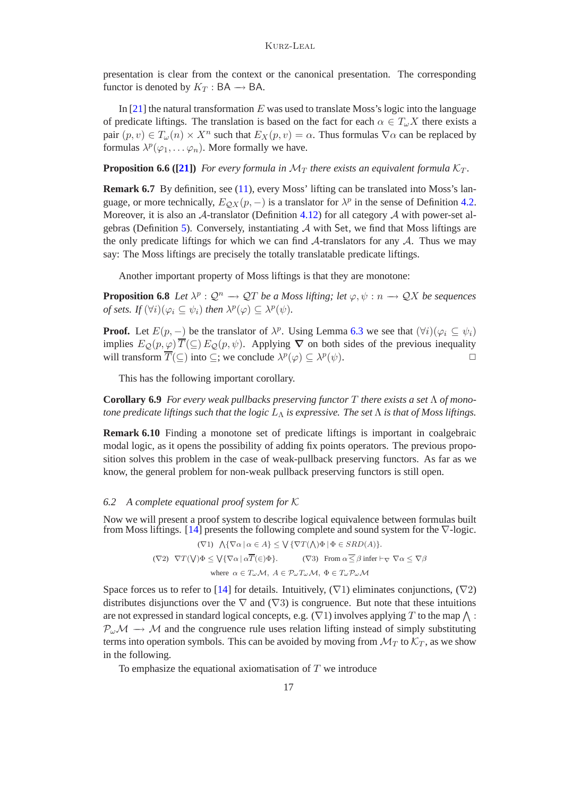presentation is clear from the context or the canonical presentation. The corresponding functor is denoted by  $K_T : BA \rightarrow BA$ .

In  $[21]$  the natural transformation E was used to translate Moss's logic into the language of predicate liftings. The translation is based on the fact for each  $\alpha \in T_{\omega}X$  there exists a pair  $(p, v) \in T_\omega(n) \times X^n$  such that  $E_X(p, v) = \alpha$ . Thus formulas  $\nabla \alpha$  can be replaced by formulas  $\lambda^p(\varphi_1,\ldots,\varphi_n)$ . More formally we have.

<span id="page-16-0"></span>**Proposition 6.6 ([\[21\]](#page-21-0))** For every formula in  $\mathcal{M}_T$  there exists an equivalent formula  $\mathcal{K}_T$ .

**Remark 6.7** By definition, see [\(11\)](#page-15-0), every Moss' lifting can be translated into Moss's language, or more technically,  $E_{QX}(p, -)$  is a translator for  $\lambda^p$  in the sense of Definition [4.2.](#page-9-3) Moreover, it is also an  $A$ -translator (Definition [4.12\)](#page-11-1) for all category  $A$  with power-set al-gebras (Definition [5\)](#page-4-4). Conversely, instantiating  $A$  with Set, we find that Moss liftings are the only predicate liftings for which we can find  $\mathcal{A}$ -translators for any  $\mathcal{A}$ . Thus we may say: The Moss liftings are precisely the totally translatable predicate liftings.

Another important property of Moss liftings is that they are monotone:

**Proposition 6.8** *Let*  $\lambda^p : \mathcal{Q}^n \to \mathcal{Q}T$  *be a Moss lifting; let*  $\varphi, \psi : n \to \mathcal{Q}X$  *be sequences of sets.* If  $(\forall i)(\varphi_i \subseteq \psi_i)$  then  $\lambda^p(\varphi) \subseteq \lambda^p(\psi)$ .

**Proof.** Let  $E(p, -)$  be the translator of  $\lambda^p$ . Using Lemma [6.3](#page-14-0) we see that  $(\forall i)(\varphi_i \subseteq \psi_i)$ implies  $E_O(p,\varphi) \overline{T}(\subseteq) E_O(p,\psi)$ . Applying  $\nabla$  on both sides of the previous inequality will transform  $\overline{T}(\subseteq)$  into  $\subseteq$ ; we conclude  $\lambda^p(\varphi) \subseteq \lambda^p(\psi)$ .

This has the following important corollary.

**Corollary 6.9** *For every weak pullbacks preserving functor* T *there exists a set* Λ *of monotone predicate liftings such that the logic*  $L_\Lambda$  *is expressive. The set*  $\Lambda$  *is that of Moss liftings.* 

**Remark 6.10** Finding a monotone set of predicate liftings is important in coalgebraic modal logic, as it opens the possibility of adding fix points operators. The previous proposition solves this problem in the case of weak-pullback preserving functors. As far as we know, the general problem for non-weak pullback preserving functors is still open.

### *6.2 A complete equational proof system for* K

Now we will present a proof system to describe logical equivalence between formulas built from Moss liftings. [\[14\]](#page-21-17) presents the following complete and sound system for the  $\nabla$ -logic.

> $(\nabla 1) \bigwedge {\nabla \alpha \mid \alpha \in A} \leq \bigvee {\nabla T(\bigwedge) \Phi \mid \Phi \in SRD(A)}$ .  $(\nabla 2) \ \ \nabla T(\bigvee) \Phi \leq \bigvee \{ \nabla \alpha \mid \alpha T(\in) \Phi \}.$  (V3) From  $\alpha \leq \beta$  infer  $\vdash_{\nabla} \nabla \alpha \leq \nabla \beta$ where  $\alpha \in T_{\omega} \mathcal{M}, A \in \mathcal{P}_{\omega} T_{\omega} \mathcal{M}, \Phi \in T_{\omega} \mathcal{P}_{\omega} \mathcal{M}$

Space forces us to refer to [\[14\]](#page-21-17) for details. Intuitively,  $(\nabla 1)$  eliminates conjunctions,  $(\nabla 2)$ distributes disjunctions over the  $\nabla$  and ( $\nabla$ 3) is congruence. But note that these intuitions are not expressed in standard logical concepts, e.g.  $(\nabla 1)$  involves applying T to the map  $\wedge$ :  $P_{\omega}M \rightarrow M$  and the congruence rule uses relation lifting instead of simply substituting terms into operation symbols. This can be avoided by moving from  $\mathcal{M}_T$  to  $\mathcal{K}_T$ , as we show in the following.

To emphasize the equational axiomatisation of  $T$  we introduce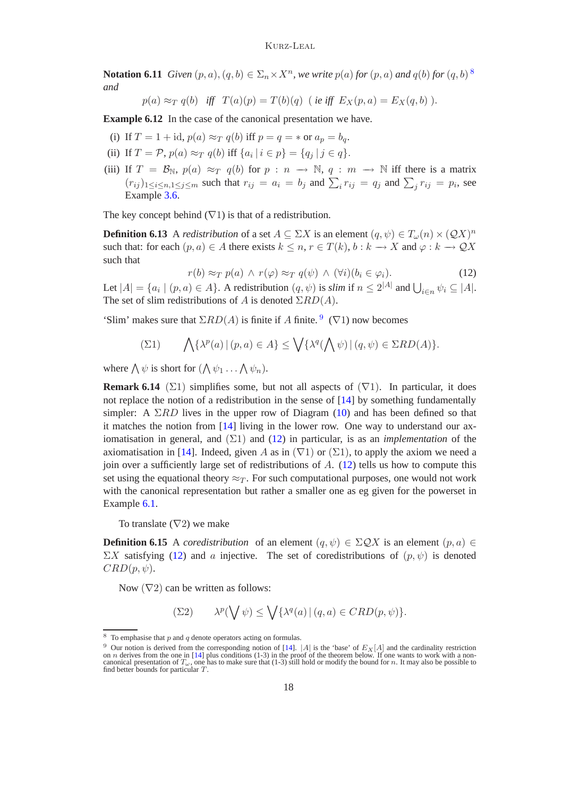#### Kurz-Leal

**Notation 6.11** *Given*  $(p, a)$ ,  $(q, b) \in \Sigma_n \times X^n$ , we write  $p(a)$  for  $(p, a)$  and  $q(b)$  for  $(q, b)$ <sup>[8](#page-17-0)</sup> *and*

 $p(a) \approx_T q(b)$  *iff*  $T(a)(p) = T(b)(q)$  (*ie iff*  $E_X(p, a) = E_X(q, b)$ ).

**Example 6.12** In the case of the canonical presentation we have.

- (i) If  $T = 1 + id$ ,  $p(a) \approx_T q(b)$  iff  $p = q = *$  or  $a_p = b_q$ .
- (ii) If  $T = \mathcal{P}$ ,  $p(a) \approx_T q(b)$  iff  $\{a_i | i \in p\} = \{q_j | j \in q\}.$
- (iii) If  $T = \mathcal{B}_{\mathbb{N}}, p(a) \approx_T q(b)$  for  $p : n \to \mathbb{N}, q : m \to \mathbb{N}$  iff there is a matrix  $(r_{ij})_{1 \le i \le n, 1 \le j \le m}$  such that  $r_{ij} = a_i = b_j$  and  $\sum_i r_{ij} = q_j$  and  $\sum_j r_{ij} = p_i$ , see Example [3.6.](#page-6-0)

The key concept behind  $(\nabla 1)$  is that of a redistribution.

<span id="page-17-2"></span>**Definition 6.13** A *redistribution* of a set  $A \subseteq \Sigma X$  is an element  $(q, \psi) \in T_{\omega}(n) \times (QX)^n$ such that: for each  $(p, a) \in A$  there exists  $k \leq n, r \in T(k), b : k \to X$  and  $\varphi : k \to \mathcal{Q}X$ such that

$$
r(b) \approx_T p(a) \land r(\varphi) \approx_T q(\psi) \land (\forall i)(b_i \in \varphi_i).
$$
 (12)

Let  $|A| = \{a_i \mid (p, a) \in A\}$ . A redistribution  $(q, \psi)$  is *slim* if  $n \leq 2^{|A|}$  and  $\bigcup_{i \in n} \psi_i \subseteq |A|$ . The set of slim redistributions of A is denoted  $\Sigma RD(A)$ .

'Slim' makes sure that  $\Sigma RD(A)$  is finite if A finite. <sup>[9](#page-17-1)</sup> ( $\nabla$ 1) now becomes

$$
\sum(21) \qquad \bigwedge \{\lambda^p(a) \, | \, (p,a) \in A\} \le \bigvee \{\lambda^q(\bigwedge \psi) \, | \, (q,\psi) \in \Sigma RD(A)\}.
$$

where  $\bigwedge \psi$  is short for  $(\bigwedge \psi_1 \dots \bigwedge \psi_n)$ .

**Remark 6.14** ( $\Sigma$ 1) simplifies some, but not all aspects of  $(\nabla$ 1). In particular, it does not replace the notion of a redistribution in the sense of [\[14\]](#page-21-17) by something fundamentally simpler: A  $\Sigma RD$  lives in the upper row of Diagram [\(10\)](#page-15-1) and has been defined so that it matches the notion from [\[14\]](#page-21-17) living in the lower row. One way to understand our axiomatisation in general, and (Σ1) and [\(12\)](#page-17-2) in particular, is as an *implementation* of the axiomatisation in [\[14\]](#page-21-17). Indeed, given A as in  $(\nabla 1)$  or  $(\Sigma 1)$ , to apply the axiom we need a join over a sufficiently large set of redistributions of  $A$ . [\(12\)](#page-17-2) tells us how to compute this set using the equational theory  $\approx_T$ . For such computational purposes, one would not work with the canonical representation but rather a smaller one as eg given for the powerset in Example [6.1.](#page-14-1)

To translate  $(\nabla 2)$  we make

**Definition 6.15** A *coredistribution* of an element  $(q, \psi) \in \Sigma \mathcal{Q}X$  is an element  $(p, a) \in$  $\Sigma X$  satisfying [\(12\)](#page-17-2) and a injective. The set of coredistributions of  $(p, \psi)$  is denoted  $CRD(p, \psi).$ 

Now  $(\nabla 2)$  can be written as follows:

$$
\sum (22) \qquad \lambda^p(\bigvee \psi) \leq \bigvee \{ \lambda^q(a) \, | \, (q, a) \in CRD(p, \psi) \}.
$$

 $8\,$  To emphasise that  $p$  and  $q$  denote operators acting on formulas.

<span id="page-17-1"></span><span id="page-17-0"></span><sup>&</sup>lt;sup>9</sup> Our notion is derived from the corresponding notion of [\[14\]](#page-21-17).  $|A|$  is the 'base' of  $E_X[A]$  and the cardinality restriction<br>on *n* derives from the one in [14] plus conditions (1-3) in the proof of the theorem below. I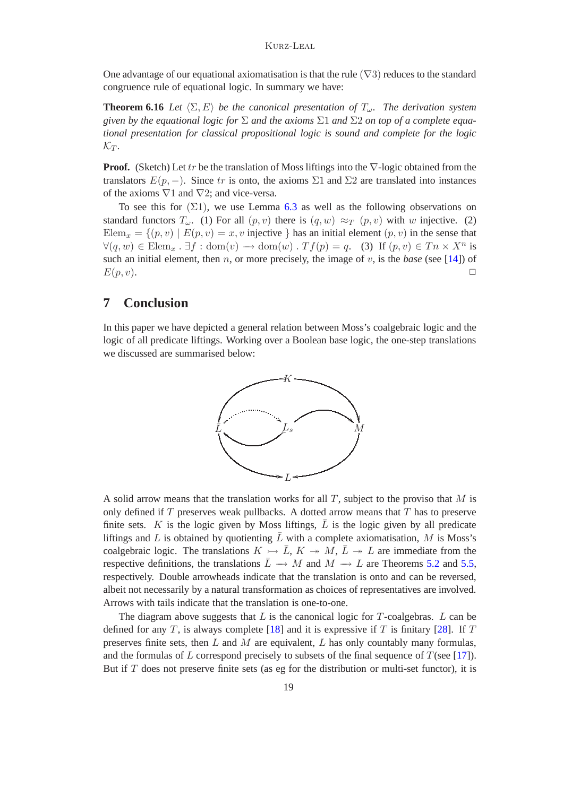One advantage of our equational axiomatisation is that the rule  $(\nabla 3)$  reduces to the standard congruence rule of equational logic. In summary we have:

**Theorem 6.16** *Let*  $\langle \Sigma, E \rangle$  *be the canonical presentation of*  $T_{\omega}$ *. The derivation system given by the equational logic for* Σ *and the axioms* Σ1 *and* Σ2 *on top of a complete equational presentation for classical propositional logic is sound and complete for the logic*  $\mathcal{K}_T$ .

**Proof.** (Sketch) Let tr be the translation of Moss liftings into the ∇-logic obtained from the translators  $E(p, -)$ . Since tr is onto, the axioms  $\Sigma$ 1 and  $\Sigma$ 2 are translated into instances of the axioms  $\nabla$ 1 and  $\nabla$ 2; and vice-versa.

To see this for  $(\Sigma 1)$ , we use Lemma [6.3](#page-14-0) as well as the following observations on standard functors  $T_{\omega}$ . (1) For all  $(p, v)$  there is  $(q, w) \approx_T (p, v)$  with w injective. (2) Elem<sub>x</sub> = { $(p, v) | E(p, v) = x$ , v injective } has an initial element  $(p, v)$  in the sense that  $\forall (q, w) \in \text{Elem}_x : \exists f : \text{dom}(v) \rightarrow \text{dom}(w) : Tf(p) = q.$  (3) If  $(p, v) \in T_n \times X^n$  is such an initial element, then  $n$ , or more precisely, the image of  $v$ , is the *base* (see [\[14\]](#page-21-17)) of  $E(p,v)$ .

### **7 Conclusion**

In this paper we have depicted a general relation between Moss's coalgebraic logic and the logic of all predicate liftings. Working over a Boolean base logic, the one-step translations we discussed are summarised below:



A solid arrow means that the translation works for all  $T$ , subject to the proviso that  $M$  is only defined if  $T$  preserves weak pullbacks. A dotted arrow means that  $T$  has to preserve finite sets.  $K$  is the logic given by Moss liftings,  $L$  is the logic given by all predicate liftings and L is obtained by quotienting  $\bar{L}$  with a complete axiomatisation, M is Moss's coalgebraic logic. The translations  $K \rightarrow \overline{L}$ ,  $K \rightarrow M$ ,  $\overline{L} \rightarrow L$  are immediate from the respective definitions, the translations  $\overline{L} \rightarrow M$  and  $M \rightarrow L$  are Theorems [5.2](#page-12-0) and [5.5,](#page-13-0) respectively. Double arrowheads indicate that the translation is onto and can be reversed, albeit not necessarily by a natural transformation as choices of representatives are involved. Arrows with tails indicate that the translation is one-to-one.

The diagram above suggests that  $L$  is the canonical logic for T-coalgebras.  $L$  can be defined for any T, is always complete [\[18\]](#page-21-13) and it is expressive if T is finitary [\[28\]](#page-21-8). If T preserves finite sets, then  $L$  and  $M$  are equivalent,  $L$  has only countably many formulas, and the formulas of L correspond precisely to subsets of the final sequence of  $T$ (see [\[17\]](#page-21-18)). But if  $T$  does not preserve finite sets (as eg for the distribution or multi-set functor), it is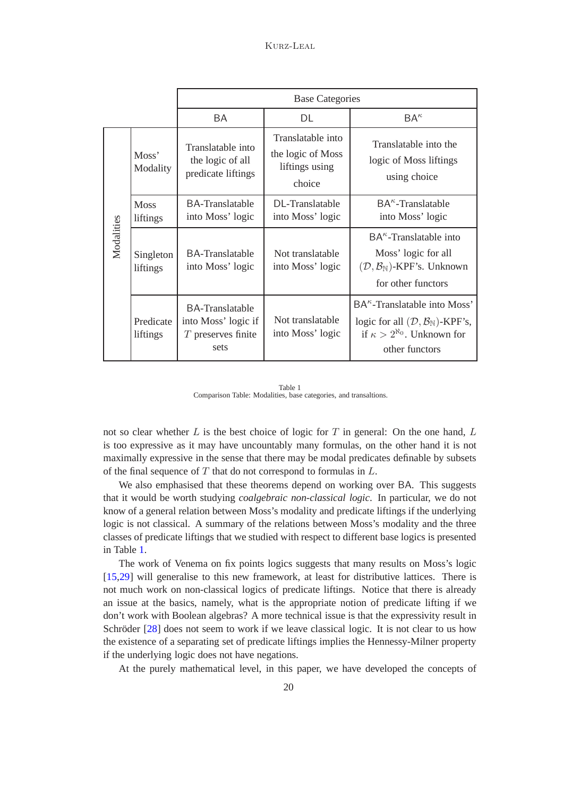|            |                         | <b>Base Categories</b>                                                        |                                                                    |                                                                                                                                                     |
|------------|-------------------------|-------------------------------------------------------------------------------|--------------------------------------------------------------------|-----------------------------------------------------------------------------------------------------------------------------------------------------|
|            |                         | BA                                                                            | DL                                                                 | $BA^{\kappa}$                                                                                                                                       |
| Modalities | Moss'<br>Modality       | Translatable into<br>the logic of all<br>predicate liftings                   | Translatable into<br>the logic of Moss<br>liftings using<br>choice | Translatable into the<br>logic of Moss liftings<br>using choice                                                                                     |
|            | <b>Moss</b><br>liftings | BA-Translatable<br>into Moss' logic                                           | DL-Translatable<br>into Moss' logic                                | $BA^{\kappa}$ -Translatable<br>into Moss' logic                                                                                                     |
|            | Singleton<br>liftings   | BA-Translatable<br>into Moss' logic                                           | Not translatable<br>into Moss' logic                               | $BA^{\kappa}$ -Translatable into<br>Moss' logic for all<br>$(\mathcal{D}, \mathcal{B}_{\mathbb{N}})$ -KPF's. Unknown<br>for other functors          |
|            | Predicate<br>liftings   | <b>BA-Translatable</b><br>into Moss' logic if<br>$T$ preserves finite<br>sets | Not translatable<br>into Moss' logic                               | $BA^{\kappa}$ -Translatable into Moss'<br>logic for all $(D, B_{\mathbb{N}})$ -KPF's,<br>if $\kappa > 2^{\aleph_0}$ . Unknown for<br>other functors |

Table 1 Comparison Table: Modalities, base categories, and transaltions.

<span id="page-19-0"></span>not so clear whether  $L$  is the best choice of logic for  $T$  in general: On the one hand,  $L$ is too expressive as it may have uncountably many formulas, on the other hand it is not maximally expressive in the sense that there may be modal predicates definable by subsets of the final sequence of  $T$  that do not correspond to formulas in  $L$ .

We also emphasised that these theorems depend on working over BA. This suggests that it would be worth studying *coalgebraic non-classical logic*. In particular, we do not know of a general relation between Moss's modality and predicate liftings if the underlying logic is not classical. A summary of the relations between Moss's modality and the three classes of predicate liftings that we studied with respect to different base logics is presented in Table [1.](#page-19-0)

The work of Venema on fix points logics suggests that many results on Moss's logic [\[15,](#page-21-5)[29\]](#page-21-16) will generalise to this new framework, at least for distributive lattices. There is not much work on non-classical logics of predicate liftings. Notice that there is already an issue at the basics, namely, what is the appropriate notion of predicate lifting if we don't work with Boolean algebras? A more technical issue is that the expressivity result in Schröder  $[28]$  does not seem to work if we leave classical logic. It is not clear to us how the existence of a separating set of predicate liftings implies the Hennessy-Milner property if the underlying logic does not have negations.

At the purely mathematical level, in this paper, we have developed the concepts of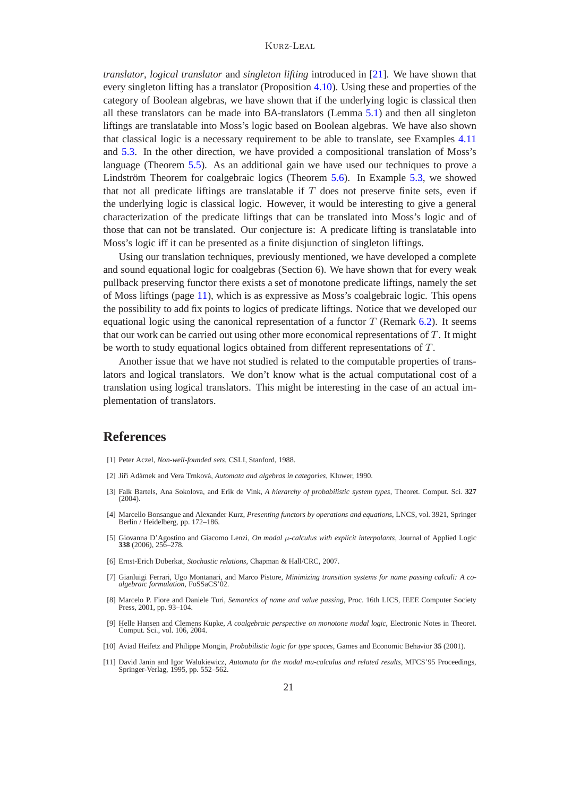#### Kurz-Leal

*translator*, *logical translator* and *singleton lifting* introduced in [\[21\]](#page-21-0). We have shown that every singleton lifting has a translator (Proposition [4.10\)](#page-10-2). Using these and properties of the category of Boolean algebras, we have shown that if the underlying logic is classical then all these translators can be made into BA-translators (Lemma [5.1\)](#page-12-1) and then all singleton liftings are translatable into Moss's logic based on Boolean algebras. We have also shown that classical logic is a necessary requirement to be able to translate, see Examples [4.11](#page-11-0) and [5.3.](#page-13-1) In the other direction, we have provided a compositional translation of Moss's language (Theorem [5.5\)](#page-13-0). As an additional gain we have used our techniques to prove a Lindström Theorem for coalgebraic logics (Theorem  $5.6$ ). In Example  $5.3$ , we showed that not all predicate liftings are translatable if  $T$  does not preserve finite sets, even if the underlying logic is classical logic. However, it would be interesting to give a general characterization of the predicate liftings that can be translated into Moss's logic and of those that can not be translated. Our conjecture is: A predicate lifting is translatable into Moss's logic iff it can be presented as a finite disjunction of singleton liftings.

Using our translation techniques, previously mentioned, we have developed a complete and sound equational logic for coalgebras (Section 6). We have shown that for every weak pullback preserving functor there exists a set of monotone predicate liftings, namely the set of Moss liftings (page [11\)](#page-15-0), which is as expressive as Moss's coalgebraic logic. This opens the possibility to add fix points to logics of predicate liftings. Notice that we developed our equational logic using the canonical representation of a functor  $T$  (Remark [6.2\)](#page-14-3). It seems that our work can be carried out using other more economical representations of  $T$ . It might be worth to study equational logics obtained from different representations of T.

Another issue that we have not studied is related to the computable properties of translators and logical translators. We don't know what is the actual computational cost of a translation using logical translators. This might be interesting in the case of an actual implementation of translators.

### <span id="page-20-0"></span>**References**

- <span id="page-20-7"></span>[1] Peter Aczel, *Non-well-founded sets*, CSLI, Stanford, 1988.
- <span id="page-20-8"></span>[2] Jiří Adámek and Vera Trnková, *Automata and algebras in categories*, Kluwer, 1990.
- [3] Falk Bartels, Ana Sokolova, and Erik de Vink, *A hierarchy of probabilistic system types*, Theoret. Comput. Sci. **327**  $(2004)$
- <span id="page-20-9"></span>[4] Marcello Bonsangue and Alexander Kurz, *Presenting functors by operations and equations*, LNCS, vol. 3921, Springer Berlin / Heidelberg, pp. 172–186.
- <span id="page-20-6"></span>[5] Giovanna D'Agostino and Giacomo Lenzi, *On modal* µ*-calculus with explicit interpolants*, Journal of Applied Logic **338** (2006), 256–278.
- <span id="page-20-3"></span>[6] Ernst-Erich Doberkat, *Stochastic relations*, Chapman & Hall/CRC, 2007.
- <span id="page-20-2"></span>[7] Gianluigi Ferrari, Ugo Montanari, and Marco Pistore, *Minimizing transition systems for name passing calculi: A coalgebraic formulation*, FoSSaCS'02.
- <span id="page-20-1"></span>[8] Marcelo P. Fiore and Daniele Turi, *Semantics of name and value passing*, Proc. 16th LICS, IEEE Computer Society Press, 2001, pp. 93–104.
- <span id="page-20-4"></span>[9] Helle Hansen and Clemens Kupke, *A coalgebraic perspective on monotone modal logic*, Electronic Notes in Theoret. Comput. Sci., vol. 106, 2004.
- <span id="page-20-10"></span>[10] Aviad Heifetz and Philippe Mongin, *Probabilistic logic for type spaces*, Games and Economic Behavior **35** (2001).
- <span id="page-20-5"></span>[11] David Janin and Igor Walukiewicz, *Automata for the modal mu-calculus and related results*, MFCS'95 Proceedings, Springer-Verlag, 1995, pp. 552–562.